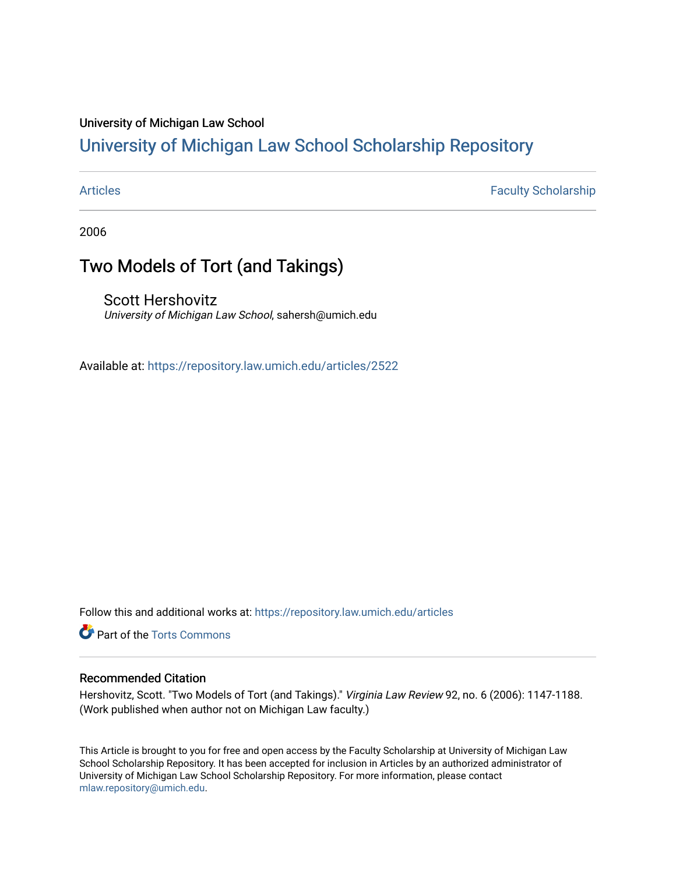# University of Michigan Law School

# [University of Michigan Law School Scholarship Repository](https://repository.law.umich.edu/)

[Articles](https://repository.law.umich.edu/articles) **Faculty Scholarship** Faculty Scholarship

2006

# Two Models of Tort (and Takings)

Scott Hershovitz University of Michigan Law School, sahersh@umich.edu

Available at: <https://repository.law.umich.edu/articles/2522>

Follow this and additional works at: [https://repository.law.umich.edu/articles](https://repository.law.umich.edu/articles?utm_source=repository.law.umich.edu%2Farticles%2F2522&utm_medium=PDF&utm_campaign=PDFCoverPages) 

**Part of the [Torts Commons](https://network.bepress.com/hgg/discipline/913?utm_source=repository.law.umich.edu%2Farticles%2F2522&utm_medium=PDF&utm_campaign=PDFCoverPages)** 

### Recommended Citation

Hershovitz, Scott. "Two Models of Tort (and Takings)." Virginia Law Review 92, no. 6 (2006): 1147-1188. (Work published when author not on Michigan Law faculty.)

This Article is brought to you for free and open access by the Faculty Scholarship at University of Michigan Law School Scholarship Repository. It has been accepted for inclusion in Articles by an authorized administrator of University of Michigan Law School Scholarship Repository. For more information, please contact [mlaw.repository@umich.edu.](mailto:mlaw.repository@umich.edu)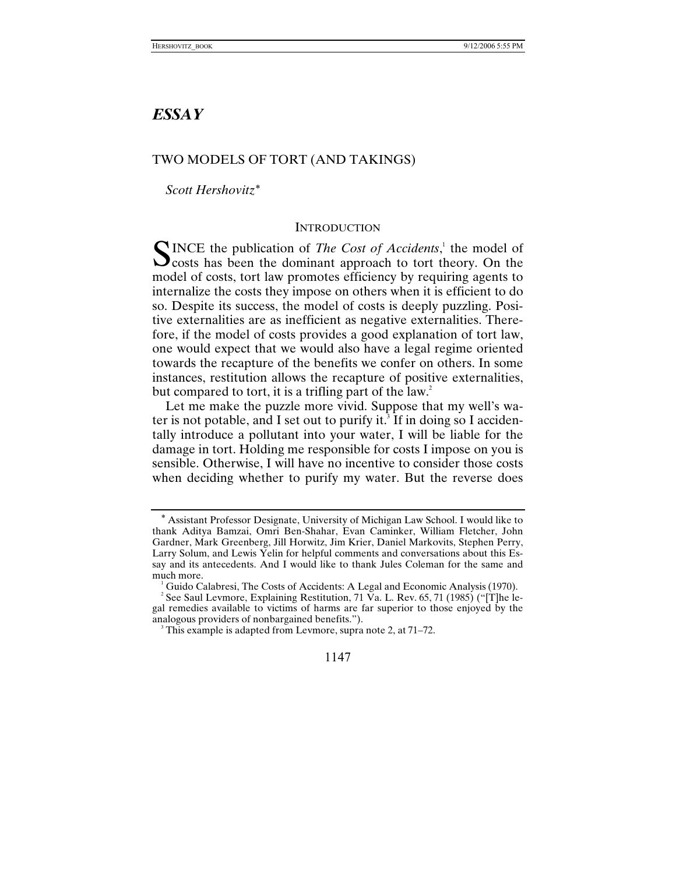# *ESSAY*

### TWO MODELS OF TORT (AND TAKINGS)

*Scott Hershovitz*[∗](#page-1-0)

### **INTRODUCTION**

INCE the publication of *The Co[s](#page-1-1)t of Accidents*,<sup>1</sup> the model of  $S$ INCE the publication of *The Cost of Accidents*,<sup>1</sup> the model of costs has been the dominant approach to tort theory. On the model of costs, tort law promotes efficiency by requiring agents to internalize the costs they impose on others when it is efficient to do so. Despite its success, the model of costs is deeply puzzling. Positive externalities are as inefficient as negative externalities. Therefore, if the model of costs provides a good explanation of tort law, one would expect that we would also have a legal regime oriented towards the recapture of the benefits we confer on others. In some instances, restitution allows the recapture of positive externalities, but compared to tort, it is a trifling part of the law.<sup>[2](#page-1-2)</sup>

Let me make the puzzle more vivid. Suppose that my well's wateris not potable, and I set out to purify it.<sup>3</sup> If in doing so I accidentally introduce a pollutant into your water, I will be liable for the damage in tort. Holding me responsible for costs I impose on you is sensible. Otherwise, I will have no incentive to consider those costs when deciding whether to purify my water. But the reverse does

1147

<span id="page-1-0"></span><sup>∗</sup> Assistant Professor Designate, University of Michigan Law School. I would like to thank Aditya Bamzai, Omri Ben-Shahar, Evan Caminker, William Fletcher, John Gardner, Mark Greenberg, Jill Horwitz, Jim Krier, Daniel Markovits, Stephen Perry, Larry Solum, and Lewis Yelin for helpful comments and conversations about this Essay and its antecedents. And I would like to thank Jules Coleman for the same and much more.

Guido Calabresi, The Costs of Accidents: A Legal and Economic Analysis (1970). <sup>2</sup>

<span id="page-1-2"></span><span id="page-1-1"></span><sup>&</sup>lt;sup>2</sup> See Saul Levmore, Explaining Restitution, 71 Va. L. Rev. 65, 71 (1985) ("[T]he legal remedies available to victims of harms are far superior to those enjoyed by the analogous providers of nonbargained benefits."). 3

<span id="page-1-3"></span>This example is adapted from Levmore, supra note 2, at  $71-72$ .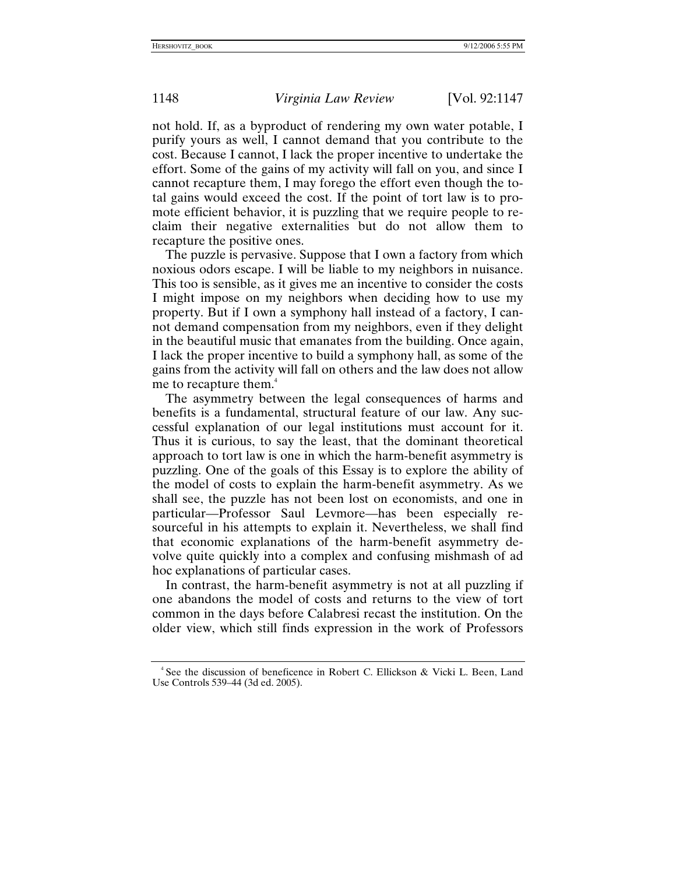not hold. If, as a byproduct of rendering my own water potable, I purify yours as well, I cannot demand that you contribute to the cost. Because I cannot, I lack the proper incentive to undertake the effort. Some of the gains of my activity will fall on you, and since I cannot recapture them, I may forego the effort even though the total gains would exceed the cost. If the point of tort law is to promote efficient behavior, it is puzzling that we require people to reclaim their negative externalities but do not allow them to recapture the positive ones.

The puzzle is pervasive. Suppose that I own a factory from which noxious odors escape. I will be liable to my neighbors in nuisance. This too is sensible, as it gives me an incentive to consider the costs I might impose on my neighbors when deciding how to use my property. But if I own a symphony hall instead of a factory, I cannot demand compensation from my neighbors, even if they delight in the beautiful music that emanates from the building. Once again, I lack the proper incentive to build a symphony hall, as some of the gains from the activity will fall on others and the law does not allow me to recapture them.<sup>[4](#page-2-0)</sup>

The asymmetry between the legal consequences of harms and benefits is a fundamental, structural feature of our law. Any successful explanation of our legal institutions must account for it. Thus it is curious, to say the least, that the dominant theoretical approach to tort law is one in which the harm-benefit asymmetry is puzzling. One of the goals of this Essay is to explore the ability of the model of costs to explain the harm-benefit asymmetry. As we shall see, the puzzle has not been lost on economists, and one in particular—Professor Saul Levmore—has been especially resourceful in his attempts to explain it. Nevertheless, we shall find that economic explanations of the harm-benefit asymmetry devolve quite quickly into a complex and confusing mishmash of ad hoc explanations of particular cases.

In contrast, the harm-benefit asymmetry is not at all puzzling if one abandons the model of costs and returns to the view of tort common in the days before Calabresi recast the institution. On the older view, which still finds expression in the work of Professors

<span id="page-2-0"></span><sup>4</sup> See the discussion of beneficence in Robert C. Ellickson & Vicki L. Been, Land Use Controls 539–44 (3d ed. 2005).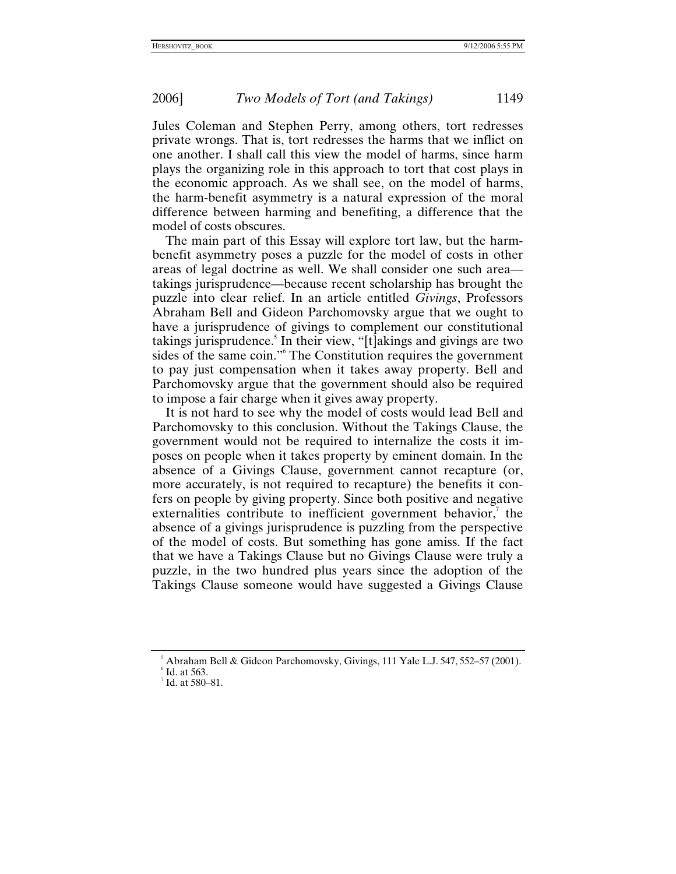Jules Coleman and Stephen Perry, among others, tort redresses private wrongs. That is, tort redresses the harms that we inflict on one another. I shall call this view the model of harms, since harm plays the organizing role in this approach to tort that cost plays in the economic approach. As we shall see, on the model of harms, the harm-benefit asymmetry is a natural expression of the moral difference between harming and benefiting, a difference that the model of costs obscures.

The main part of this Essay will explore tort law, but the harmbenefit asymmetry poses a puzzle for the model of costs in other areas of legal doctrine as well. We shall consider one such area takings jurisprudence—because recent scholarship has brought the puzzle into clear relief. In an article entitled *Givings*, Professors Abraham Bell and Gideon Parchomovsky argue that we ought to have a jurisprudence of givings to complement our constitutional takingsjurisprudence.<sup>5</sup> In their view, "[t]akings and givings are two sides of the same coin."<sup>6</sup> The Constitution requires the government to pay just compensation when it takes away property. Bell and Parchomovsky argue that the government should also be required to impose a fair charge when it gives away property.

It is not hard to see why the model of costs would lead Bell and Parchomovsky to this conclusion. Without the Takings Clause, the government would not be required to internalize the costs it imposes on people when it takes property by eminent domain. In the absence of a Givings Clause, government cannot recapture (or, more accurately, is not required to recapture) the benefits it confers on people by giving property. Since both positive and negative externalities contribute to inefficient government behavior, $\theta$  the absence of a givings jurisprudence is puzzling from the perspective of the model of costs. But something has gone amiss. If the fact that we have a Takings Clause but no Givings Clause were truly a puzzle, in the two hundred plus years since the adoption of the Takings Clause someone would have suggested a Givings Clause

<span id="page-3-0"></span> $^5$  Abraham Bell & Gideon Parchomovsky, Givings, 111 Yale L.J. 547, 552–57 (2001).

<span id="page-3-1"></span> $<sup>6</sup>$  Id. at 563.</sup>

<span id="page-3-2"></span> $7$  Id. at 580–81.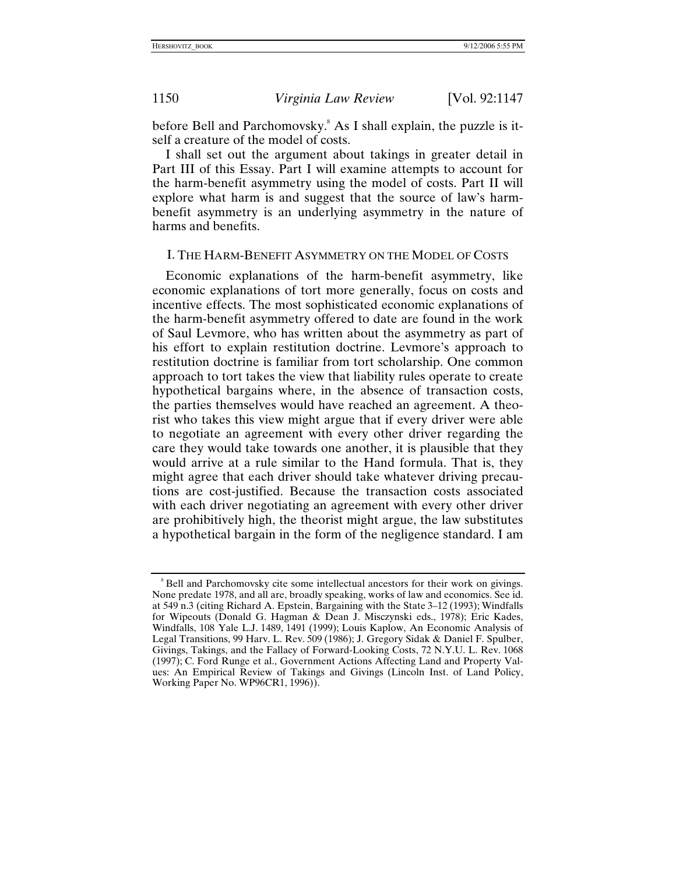beforeBell and Parchomovsky.<sup>8</sup> As I shall explain, the puzzle is itself a creature of the model of costs.

I shall set out the argument about takings in greater detail in Part III of this Essay. Part I will examine attempts to account for the harm-benefit asymmetry using the model of costs. Part II will explore what harm is and suggest that the source of law's harmbenefit asymmetry is an underlying asymmetry in the nature of harms and benefits.

## I. THE HARM-BENEFIT ASYMMETRY ON THE MODEL OF COSTS

Economic explanations of the harm-benefit asymmetry, like economic explanations of tort more generally, focus on costs and incentive effects. The most sophisticated economic explanations of the harm-benefit asymmetry offered to date are found in the work of Saul Levmore, who has written about the asymmetry as part of his effort to explain restitution doctrine. Levmore's approach to restitution doctrine is familiar from tort scholarship. One common approach to tort takes the view that liability rules operate to create hypothetical bargains where, in the absence of transaction costs, the parties themselves would have reached an agreement. A theorist who takes this view might argue that if every driver were able to negotiate an agreement with every other driver regarding the care they would take towards one another, it is plausible that they would arrive at a rule similar to the Hand formula. That is, they might agree that each driver should take whatever driving precautions are cost-justified. Because the transaction costs associated with each driver negotiating an agreement with every other driver are prohibitively high, the theorist might argue, the law substitutes a hypothetical bargain in the form of the negligence standard. I am

<span id="page-4-0"></span><sup>&</sup>lt;sup>8</sup> Bell and Parchomovsky cite some intellectual ancestors for their work on givings. None predate 1978, and all are, broadly speaking, works of law and economics. See id. at 549 n.3 (citing Richard A. Epstein, Bargaining with the State 3–12 (1993); Windfalls for Wipeouts (Donald G. Hagman & Dean J. Misczynski eds., 1978); Eric Kades, Windfalls, 108 Yale L.J. 1489, 1491 (1999); Louis Kaplow, An Economic Analysis of Legal Transitions, 99 Harv. L. Rev. 509 (1986); J. Gregory Sidak & Daniel F. Spulber, Givings, Takings, and the Fallacy of Forward-Looking Costs, 72 N.Y.U. L. Rev. 1068 (1997); C. Ford Runge et al., Government Actions Affecting Land and Property Values: An Empirical Review of Takings and Givings (Lincoln Inst. of Land Policy, Working Paper No. WP96CR1, 1996)).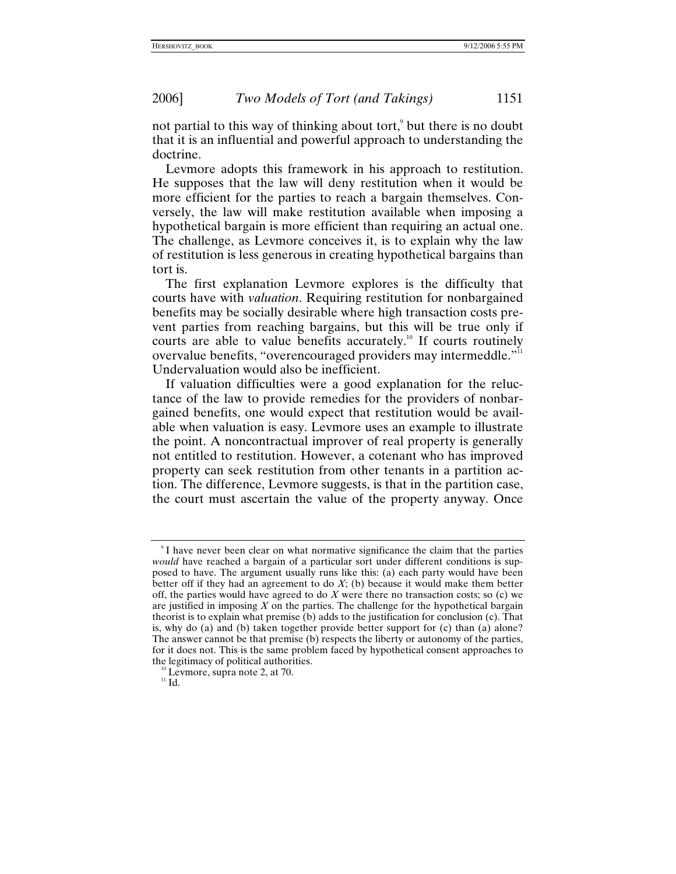notpartial to this way of thinking about tort,<sup>9</sup> but there is no doubt that it is an influential and powerful approach to understanding the doctrine.

Levmore adopts this framework in his approach to restitution. He supposes that the law will deny restitution when it would be more efficient for the parties to reach a bargain themselves. Conversely, the law will make restitution available when imposing a hypothetical bargain is more efficient than requiring an actual one. The challenge, as Levmore conceives it, is to explain why the law of restitution is less generous in creating hypothetical bargains than tort is.

The first explanation Levmore explores is the difficulty that courts have with *valuation*. Requiring restitution for nonbargained benefits may be socially desirable where high transaction costs prevent parties from reaching bargains, but this will be true only if courts are able to value benefits accurately.<sup>10</sup> If courts routinely overvalue benefits, "overencouraged providers may intermeddle."<sup>11</sup> Undervaluation would also be inefficient.

If valuation difficulties were a good explanation for the reluctance of the law to provide remedies for the providers of nonbargained benefits, one would expect that restitution would be available when valuation is easy. Levmore uses an example to illustrate the point. A noncontractual improver of real property is generally not entitled to restitution. However, a cotenant who has improved property can seek restitution from other tenants in a partition action. The difference, Levmore suggests, is that in the partition case, the court must ascertain the value of the property anyway. Once

<span id="page-5-0"></span><sup>&</sup>lt;sup>9</sup> I have never been clear on what normative significance the claim that the parties *would* have reached a bargain of a particular sort under different conditions is supposed to have. The argument usually runs like this: (a) each party would have been better off if they had an agreement to do  $X$ ; (b) because it would make them better off, the parties would have agreed to do *X* were there no transaction costs; so (c) we are justified in imposing *X* on the parties. The challenge for the hypothetical bargain theorist is to explain what premise (b) adds to the justification for conclusion (c). That is, why do (a) and (b) taken together provide better support for (c) than (a) alone? The answer cannot be that premise (b) respects the liberty or autonomy of the parties, for it does not. This is the same problem faced by hypothetical consent approaches to the legitimacy of political authorities.

<span id="page-5-1"></span><sup>&</sup>lt;sup>10</sup> Levmore, supra note 2, at 70. <sup>11</sup> L<sub>d</sub>

<span id="page-5-2"></span>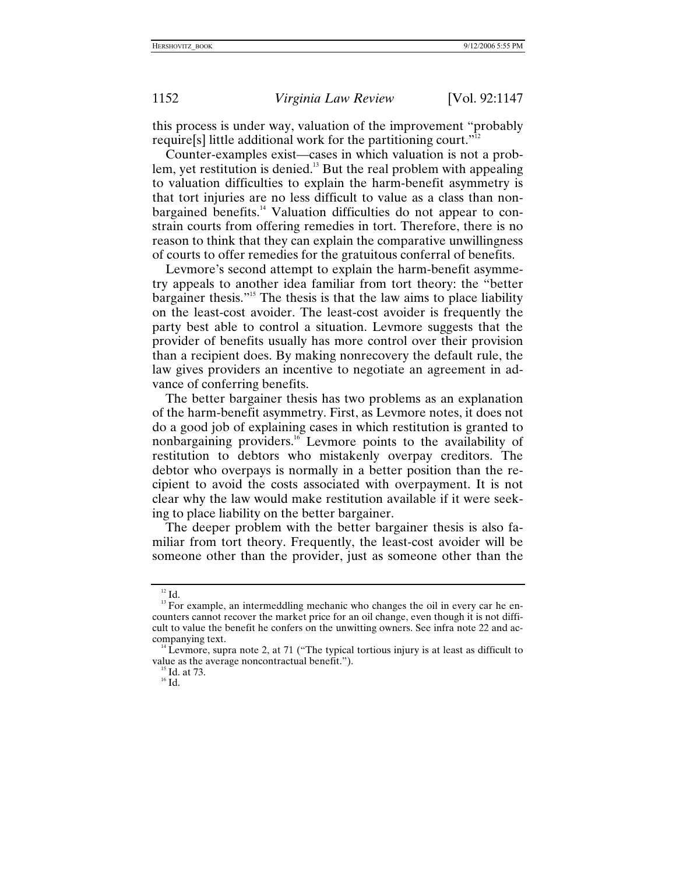this process is under way, valuation of the improvement "probably require[s] little additional work for the partitioning court."

Counter-examples exist—cases in which valuation is not a problem, yet restitution is denied.<sup>13</sup> But the real problem with appealing to valuation difficulties to explain the harm-benefit asymmetry is that tort injuries are no less difficult to value as a class than nonbargained benefits.<sup>14</sup> Valuation difficulties do not appear to constrain courts from offering remedies in tort. Therefore, there is no reason to think that they can explain the comparative unwillingness of courts to offer remedies for the gratuitous conferral of benefits.

Levmore's second attempt to explain the harm-benefit asymmetry appeals to another idea familiar from tort theory: the "better bargainer thesis."[15](#page-6-3) The thesis is that the law aims to place liability on the least-cost avoider. The least-cost avoider is frequently the party best able to control a situation. Levmore suggests that the provider of benefits usually has more control over their provision than a recipient does. By making nonrecovery the default rule, the law gives providers an incentive to negotiate an agreement in advance of conferring benefits.

The better bargainer thesis has two problems as an explanation of the harm-benefit asymmetry. First, as Levmore notes, it does not do a good job of explaining cases in which restitution is granted to nonbargaining providers[.16](#page-6-4) Levmore points to the availability of restitution to debtors who mistakenly overpay creditors. The debtor who overpays is normally in a better position than the recipient to avoid the costs associated with overpayment. It is not clear why the law would make restitution available if it were seeking to place liability on the better bargainer.

The deeper problem with the better bargainer thesis is also familiar from tort theory. Frequently, the least-cost avoider will be someone other than the provider, just as someone other than the

<span id="page-6-1"></span>

<span id="page-6-0"></span> $12$  Id.<br><sup>13</sup> For example, an intermeddling mechanic who changes the oil in every car he encounters cannot recover the market price for an oil change, even though it is not difficult to value the benefit he confers on the unwitting owners. See infra note 22 and accompanying text.<br> $14$  Levmore, supra note 2, at 71 ("The typical tortious injury is at least as difficult to

<span id="page-6-2"></span>value as the average noncontractual benefit.").<br><sup>15</sup> Id. at 73. <sup>16</sup> Id.

<span id="page-6-3"></span>

<span id="page-6-4"></span>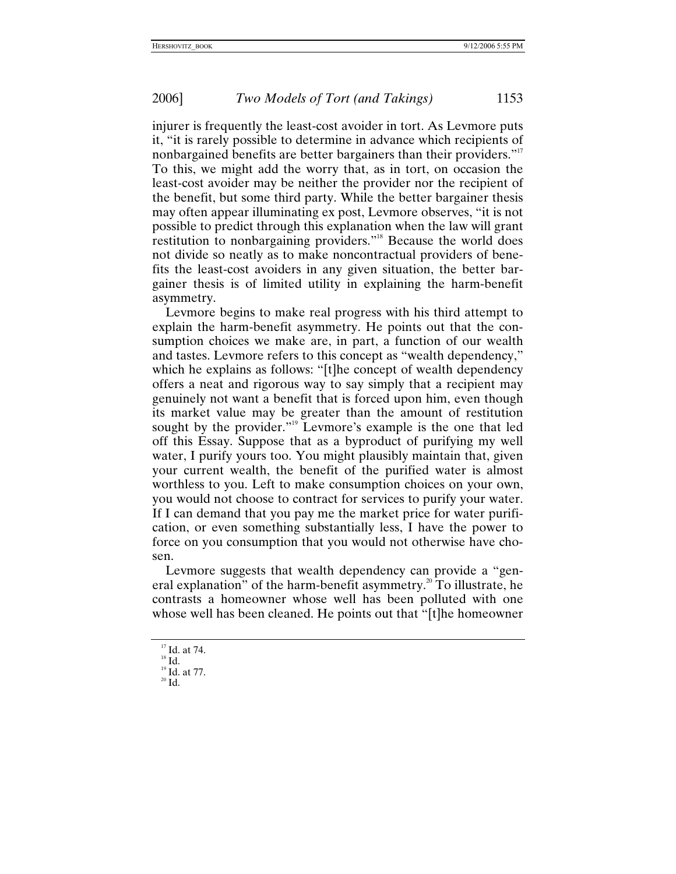injurer is frequently the least-cost avoider in tort. As Levmore puts it, "it is rarely possible to determine in advance which recipients of nonbargained benefits are better bargainers than their providers."<sup>17</sup> To this, we might add the worry that, as in tort, on occasion the least-cost avoider may be neither the provider nor the recipient of the benefit, but some third party. While the better bargainer thesis may often appear illuminating ex post, Levmore observes, "it is not possible to predict through this explanation when the law will grant restitution to nonbargaining providers."[18](#page-7-1) Because the world does not divide so neatly as to make noncontractual providers of benefits the least-cost avoiders in any given situation, the better bargainer thesis is of limited utility in explaining the harm-benefit asymmetry.

Levmore begins to make real progress with his third attempt to explain the harm-benefit asymmetry. He points out that the consumption choices we make are, in part, a function of our wealth and tastes. Levmore refers to this concept as "wealth dependency," which he explains as follows: "[t]he concept of wealth dependency offers a neat and rigorous way to say simply that a recipient may genuinely not want a benefit that is forced upon him, even though its market value may be greater than the amount of restitution sought by the provider."<sup>19</sup> Levmore's example is the one that led off this Essay. Suppose that as a byproduct of purifying my well water, I purify yours too. You might plausibly maintain that, given your current wealth, the benefit of the purified water is almost worthless to you. Left to make consumption choices on your own, you would not choose to contract for services to purify your water. If I can demand that you pay me the market price for water purification, or even something substantially less, I have the power to force on you consumption that you would not otherwise have chosen.

Levmore suggests that wealth dependency can provide a "general explanation" of the harm-benefit asymmetry.<sup>20</sup> To illustrate, he contrasts a homeowner whose well has been polluted with one whose well has been cleaned. He points out that "[t]he homeowner

<span id="page-7-2"></span><span id="page-7-1"></span>

<span id="page-7-0"></span> $^{17}_{^{18}}$  Id. at 74.<br> $^{19}_{^{19}}$  Id. at 77.<br> $^{20}$  Id.

<span id="page-7-3"></span>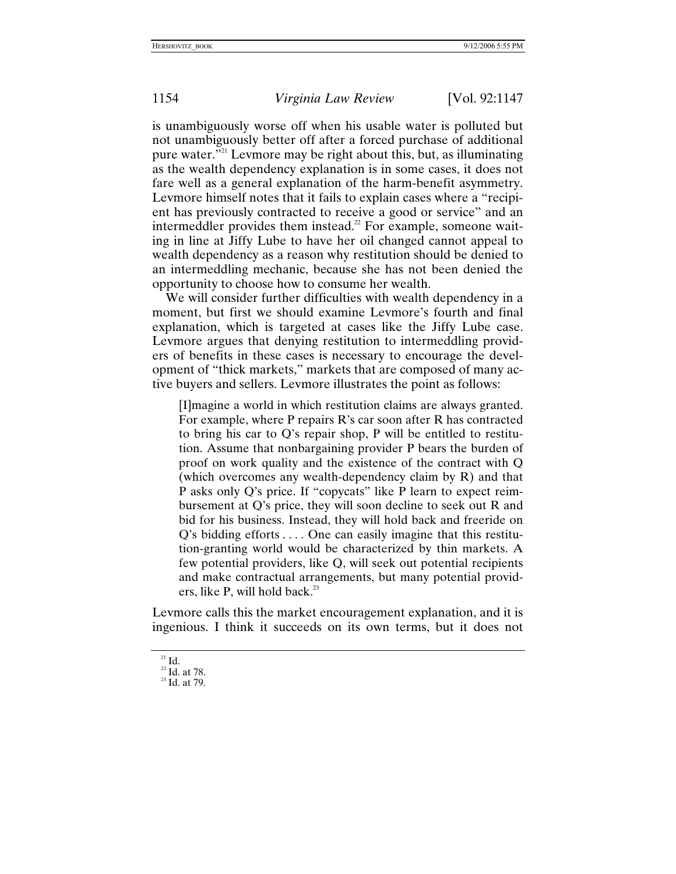is unambiguously worse off when his usable water is polluted but not unambiguously better off after a forced purchase of additional pure water.<sup>"21</sup> Levmore may be right about this, but, as illuminating as the wealth dependency explanation is in some cases, it does not fare well as a general explanation of the harm-benefit asymmetry. Levmore himself notes that it fails to explain cases where a "recipient has previously contracted to receive a good or service" and an intermeddler provides them instead.<sup>22</sup> For example, someone waiting in line at Jiffy Lube to have her oil changed cannot appeal to wealth dependency as a reason why restitution should be denied to an intermeddling mechanic, because she has not been denied the opportunity to choose how to consume her wealth.

We will consider further difficulties with wealth dependency in a moment, but first we should examine Levmore's fourth and final explanation, which is targeted at cases like the Jiffy Lube case. Levmore argues that denying restitution to intermeddling providers of benefits in these cases is necessary to encourage the development of "thick markets," markets that are composed of many active buyers and sellers. Levmore illustrates the point as follows:

[I]magine a world in which restitution claims are always granted. For example, where P repairs R's car soon after R has contracted to bring his car to Q's repair shop, P will be entitled to restitution. Assume that nonbargaining provider P bears the burden of proof on work quality and the existence of the contract with Q (which overcomes any wealth-dependency claim by R) and that P asks only Q's price. If "copycats" like P learn to expect reimbursement at Q's price, they will soon decline to seek out R and bid for his business. Instead, they will hold back and freeride on  $Q$ 's bidding efforts  $\dots$ . One can easily imagine that this restitution-granting world would be characterized by thin markets. A few potential providers, like Q, will seek out potential recipients and make contractual arrangements, but many potential providers,like P, will hold back. $^{23}$ 

Levmore calls this the market encouragement explanation, and it is ingenious. I think it succeeds on its own terms, but it does not

<span id="page-8-1"></span><span id="page-8-0"></span>

 $\frac{^{21}}{^{22}}$  Id. at 78.<br> $\frac{^{23}}{^{23}}$  Id. at 79.

<span id="page-8-2"></span>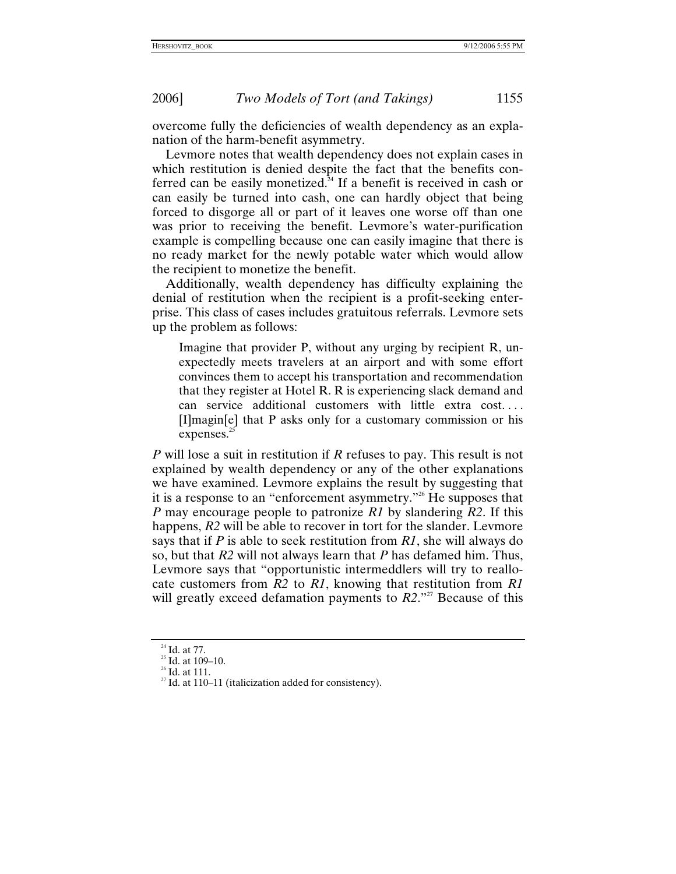overcome fully the deficiencies of wealth dependency as an explanation of the harm-benefit asymmetry.

Levmore notes that wealth dependency does not explain cases in which restitution is denied despite the fact that the benefits conferred can be easily monetized.<sup>24</sup> If a benefit is received in cash or can easily be turned into cash, one can hardly object that being forced to disgorge all or part of it leaves one worse off than one was prior to receiving the benefit. Levmore's water-purification example is compelling because one can easily imagine that there is no ready market for the newly potable water which would allow the recipient to monetize the benefit.

Additionally, wealth dependency has difficulty explaining the denial of restitution when the recipient is a profit-seeking enterprise. This class of cases includes gratuitous referrals. Levmore sets up the problem as follows:

Imagine that provider P, without any urging by recipient R, unexpectedly meets travelers at an airport and with some effort convinces them to accept his transportation and recommendation that they register at Hotel R. R is experiencing slack demand and can service additional customers with little extra cost. . . . [I]magin[e] that P asks only for a customary commission or his expenses.<sup>2</sup>

*P* will lose a suit in restitution if *R* refuses to pay. This result is not explained by wealth dependency or any of the other explanations we have examined. Levmore explains the result by suggesting that it is a response to an "enforcement asymmetry."[26 H](#page-9-2)e supposes that *P* may encourage people to patronize *R1* by slandering *R2*. If this happens, *R2* will be able to recover in tort for the slander. Levmore says that if *P* is able to seek restitution from *R1*, she will always do so, but that *R2* will not always learn that *P* has defamed him. Thus, Levmore says that "opportunistic intermeddlers will try to reallocate customers from *R2* to *R1*, knowing that restitution from *R1* will greatly exceed defamation payments to  $R2.^{27}$  Because of this

<span id="page-9-0"></span>

<span id="page-9-1"></span>

<span id="page-9-3"></span><span id="page-9-2"></span>

<sup>&</sup>lt;sup>24</sup> Id. at 77.<br><sup>25</sup> Id. at 109–10.<br><sup>26</sup> Id. at 111.<br><sup>27</sup> Id. at 110–11 (italicization added for consistency).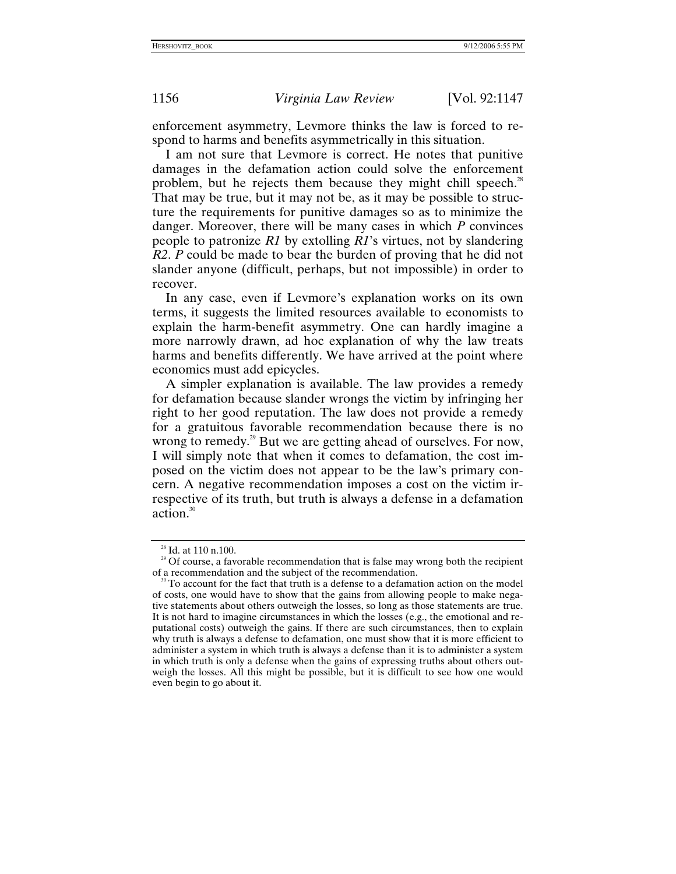enforcement asymmetry, Levmore thinks the law is forced to respond to harms and benefits asymmetrically in this situation.

I am not sure that Levmore is correct. He notes that punitive damages in the defamation action could solve the enforcement problem, but he rejects them because they might chill speech. $28$ That may be true, but it may not be, as it may be possible to structure the requirements for punitive damages so as to minimize the danger. Moreover, there will be many cases in which *P* convinces people to patronize *R1* by extolling *R1*'s virtues, not by slandering *R2*. *P* could be made to bear the burden of proving that he did not slander anyone (difficult, perhaps, but not impossible) in order to recover.

In any case, even if Levmore's explanation works on its own terms, it suggests the limited resources available to economists to explain the harm-benefit asymmetry. One can hardly imagine a more narrowly drawn, ad hoc explanation of why the law treats harms and benefits differently. We have arrived at the point where economics must add epicycles.

A simpler explanation is available. The law provides a remedy for defamation because slander wrongs the victim by infringing her right to her good reputation. The law does not provide a remedy for a gratuitous favorable recommendation because there is no wrong to remedy.<sup>29</sup> But we are getting ahead of ourselves. For now, I will simply note that when it comes to defamation, the cost imposed on the victim does not appear to be the law's primary concern. A negative recommendation imposes a cost on the victim irrespective of its truth, but truth is always a defense in a defamation action.<sup>[30](#page-10-2)</sup>

<span id="page-10-1"></span><span id="page-10-0"></span><sup>&</sup>lt;sup>28</sup> Id. at 110 n.100.<br><sup>29</sup> Of course, a favorable recommendation that is false may wrong both the recipient of a recommendation and the subject of the recommendation.<br><sup>30</sup> To account for the fact that truth is a defense to a defamation action on the model

<span id="page-10-2"></span>of costs, one would have to show that the gains from allowing people to make negative statements about others outweigh the losses, so long as those statements are true. It is not hard to imagine circumstances in which the losses (e.g., the emotional and reputational costs) outweigh the gains. If there are such circumstances, then to explain why truth is always a defense to defamation, one must show that it is more efficient to administer a system in which truth is always a defense than it is to administer a system in which truth is only a defense when the gains of expressing truths about others outweigh the losses. All this might be possible, but it is difficult to see how one would even begin to go about it.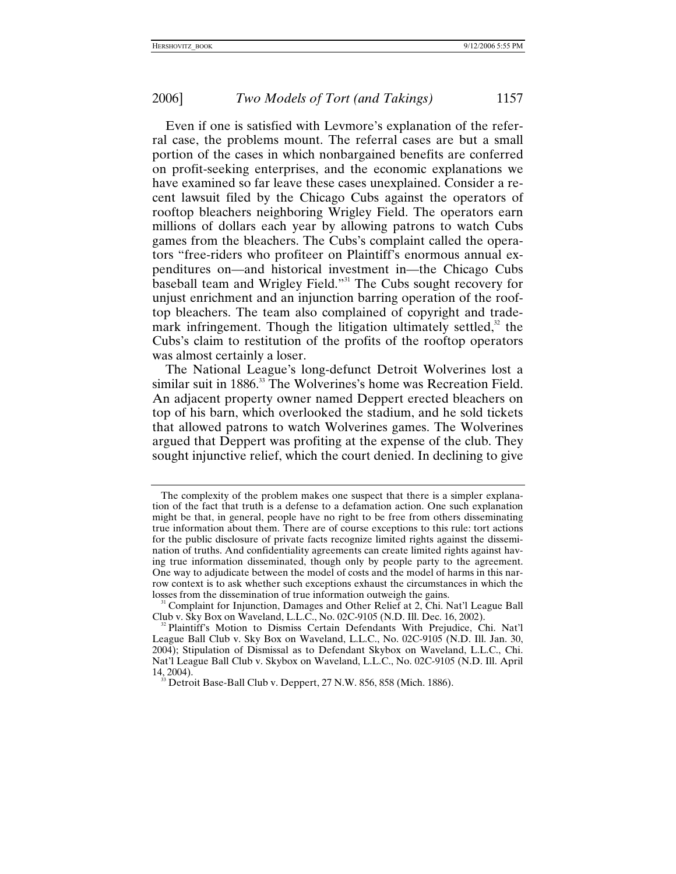Even if one is satisfied with Levmore's explanation of the referral case, the problems mount. The referral cases are but a small portion of the cases in which nonbargained benefits are conferred on profit-seeking enterprises, and the economic explanations we have examined so far leave these cases unexplained. Consider a recent lawsuit filed by the Chicago Cubs against the operators of rooftop bleachers neighboring Wrigley Field. The operators earn millions of dollars each year by allowing patrons to watch Cubs games from the bleachers. The Cubs's complaint called the operators "free-riders who profiteer on Plaintiff's enormous annual expenditures on—and historical investment in—the Chicago Cubs baseball team and Wrigley Field."<sup>31</sup> The Cubs sought recovery for unjust enrichment and an injunction barring operation of the rooftop bleachers. The team also complained of copyright and trademark infringement. Though the litigation ultimately settled, $32$  the Cubs's claim to restitution of the profits of the rooftop operators was almost certainly a loser.

The National League's long-defunct Detroit Wolverines lost a similar suit in 1886.<sup>33</sup> The Wolverines's home was Recreation Field. An adjacent property owner named Deppert erected bleachers on top of his barn, which overlooked the stadium, and he sold tickets that allowed patrons to watch Wolverines games. The Wolverines argued that Deppert was profiting at the expense of the club. They sought injunctive relief, which the court denied. In declining to give

The complexity of the problem makes one suspect that there is a simpler explanation of the fact that truth is a defense to a defamation action. One such explanation might be that, in general, people have no right to be free from others disseminating true information about them. There are of course exceptions to this rule: tort actions for the public disclosure of private facts recognize limited rights against the dissemination of truths. And confidentiality agreements can create limited rights against having true information disseminated, though only by people party to the agreement. One way to adjudicate between the model of costs and the model of harms in this narrow context is to ask whether such exceptions exhaust the circumstances in which the losses from the dissemination of true information outweigh the gains.

<span id="page-11-0"></span><sup>&</sup>lt;sup>31</sup> Complaint for Injunction, Damages and Other Relief at 2, Chi. Nat'l League Ball Club v. Sky Box on Waveland, L.L.C., No. 02C-9105 (N.D. Ill. Dec. 16, 2002).

<span id="page-11-1"></span><sup>&</sup>lt;sup>32</sup> Plaintiff's Motion to Dismiss Certain Defendants With Prejudice, Chi. Nat'l League Ball Club v. Sky Box on Waveland, L.L.C., No. 02C-9105 (N.D. Ill. Jan. 30, 2004); Stipulation of Dismissal as to Defendant Skybox on Waveland, L.L.C., Chi. Nat'l League Ball Club v. Skybox on Waveland, L.L.C., No. 02C-9105 (N.D. Ill. April 14, 2004). <br><sup>33</sup> Detroit Base-Ball Club v. Deppert, 27 N.W. 856, 858 (Mich. 1886).

<span id="page-11-2"></span>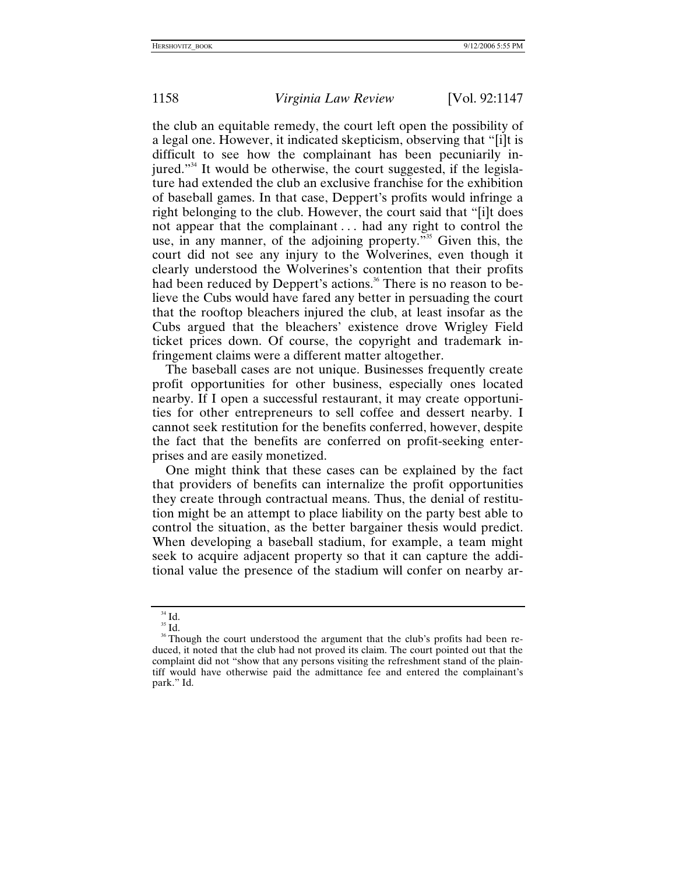the club an equitable remedy, the court left open the possibility of a legal one. However, it indicated skepticism, observing that "[i]t is difficult to see how the complainant has been pecuniarily injured."[34](#page-12-0) It would be otherwise, the court suggested, if the legislature had extended the club an exclusive franchise for the exhibition of baseball games. In that case, Deppert's profits would infringe a right belonging to the club. However, the court said that "[i]t does not appear that the complainant . . . had any right to control the use, in any manner, of the adjoining property.<sup>355</sup> Given this, the court did not see any injury to the Wolverines, even though it clearly understood the Wolverines's contention that their profits had been reduced by Deppert's actions.<sup>36</sup> There is no reason to believe the Cubs would have fared any better in persuading the court that the rooftop bleachers injured the club, at least insofar as the Cubs argued that the bleachers' existence drove Wrigley Field ticket prices down. Of course, the copyright and trademark infringement claims were a different matter altogether.

The baseball cases are not unique. Businesses frequently create profit opportunities for other business, especially ones located nearby. If I open a successful restaurant, it may create opportunities for other entrepreneurs to sell coffee and dessert nearby. I cannot seek restitution for the benefits conferred, however, despite the fact that the benefits are conferred on profit-seeking enterprises and are easily monetized.

One might think that these cases can be explained by the fact that providers of benefits can internalize the profit opportunities they create through contractual means. Thus, the denial of restitution might be an attempt to place liability on the party best able to control the situation, as the better bargainer thesis would predict. When developing a baseball stadium, for example, a team might seek to acquire adjacent property so that it can capture the additional value the presence of the stadium will confer on nearby ar-

<span id="page-12-2"></span><span id="page-12-1"></span>

<span id="page-12-0"></span> $\frac{34}{35}$  Id.<br><sup>35</sup> Id.  $\frac{36}{100}$  the court understood the argument that the club's profits had been reduced, it noted that the club had not proved its claim. The court pointed out that the complaint did not "show that any persons visiting the refreshment stand of the plaintiff would have otherwise paid the admittance fee and entered the complainant's park." Id.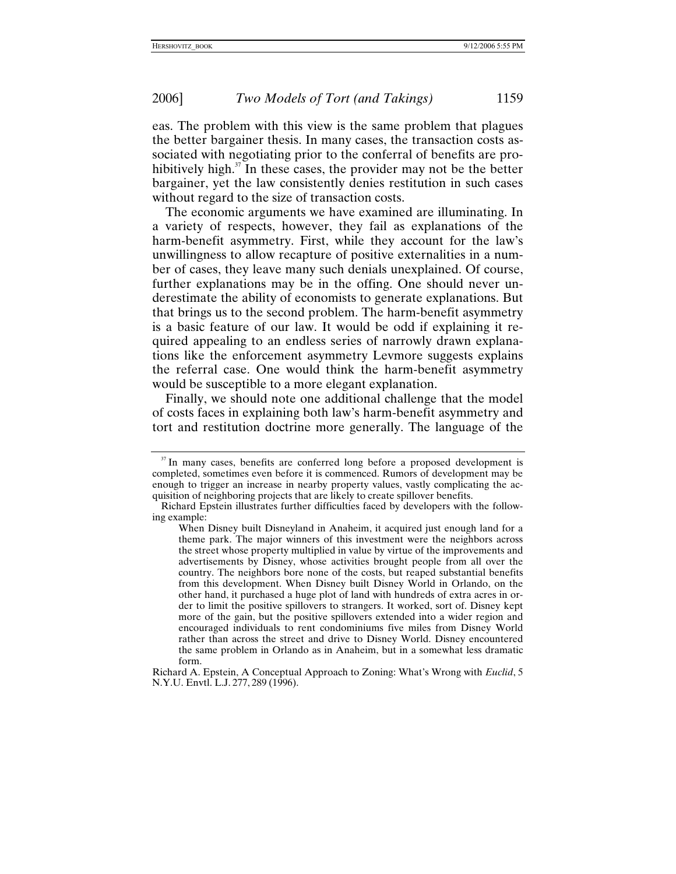eas. The problem with this view is the same problem that plagues the better bargainer thesis. In many cases, the transaction costs associated with negotiating prior to the conferral of benefits are prohibitively high. $37$  In these cases, the provider may not be the better bargainer, yet the law consistently denies restitution in such cases without regard to the size of transaction costs.

The economic arguments we have examined are illuminating. In a variety of respects, however, they fail as explanations of the harm-benefit asymmetry. First, while they account for the law's unwillingness to allow recapture of positive externalities in a number of cases, they leave many such denials unexplained. Of course, further explanations may be in the offing. One should never underestimate the ability of economists to generate explanations. But that brings us to the second problem. The harm-benefit asymmetry is a basic feature of our law. It would be odd if explaining it required appealing to an endless series of narrowly drawn explanations like the enforcement asymmetry Levmore suggests explains the referral case. One would think the harm-benefit asymmetry would be susceptible to a more elegant explanation.

Finally, we should note one additional challenge that the model of costs faces in explaining both law's harm-benefit asymmetry and tort and restitution doctrine more generally. The language of the

<span id="page-13-0"></span><sup>&</sup>lt;sup>37</sup> In many cases, benefits are conferred long before a proposed development is completed, sometimes even before it is commenced. Rumors of development may be enough to trigger an increase in nearby property values, vastly complicating the acquisition of neighboring projects that are likely to create spillover benefits.

Richard Epstein illustrates further difficulties faced by developers with the following example:

When Disney built Disneyland in Anaheim, it acquired just enough land for a theme park. The major winners of this investment were the neighbors across the street whose property multiplied in value by virtue of the improvements and advertisements by Disney, whose activities brought people from all over the country. The neighbors bore none of the costs, but reaped substantial benefits from this development. When Disney built Disney World in Orlando, on the other hand, it purchased a huge plot of land with hundreds of extra acres in order to limit the positive spillovers to strangers. It worked, sort of. Disney kept more of the gain, but the positive spillovers extended into a wider region and encouraged individuals to rent condominiums five miles from Disney World rather than across the street and drive to Disney World. Disney encountered the same problem in Orlando as in Anaheim, but in a somewhat less dramatic form.

Richard A. Epstein, A Conceptual Approach to Zoning: What's Wrong with *Euclid*, 5 N.Y.U. Envtl. L.J. 277, 289 (1996).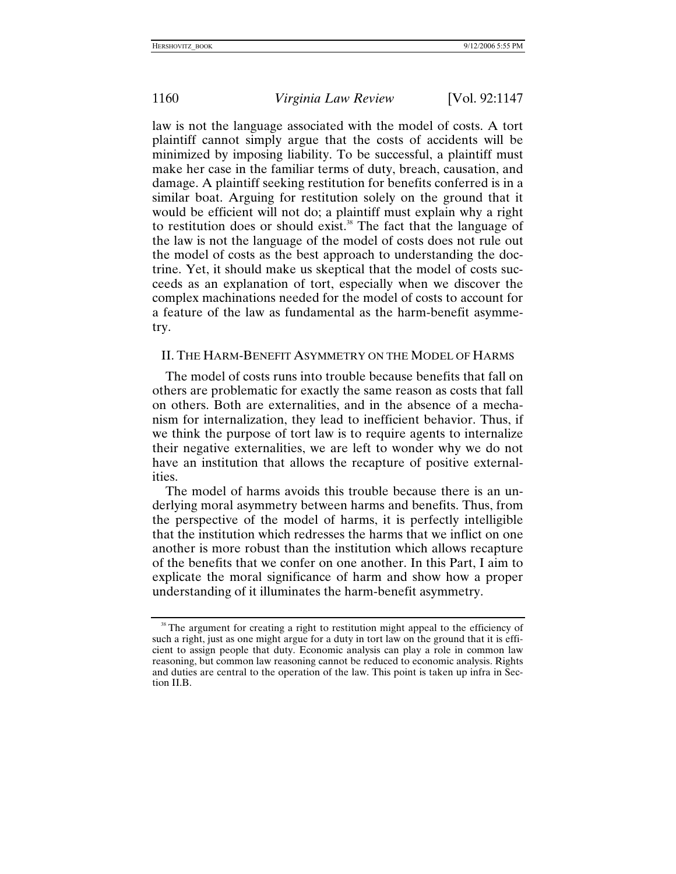law is not the language associated with the model of costs. A tort plaintiff cannot simply argue that the costs of accidents will be minimized by imposing liability. To be successful, a plaintiff must make her case in the familiar terms of duty, breach, causation, and damage. A plaintiff seeking restitution for benefits conferred is in a similar boat. Arguing for restitution solely on the ground that it would be efficient will not do; a plaintiff must explain why a right to restitution does or should exist.<sup>38</sup> The fact that the language of the law is not the language of the model of costs does not rule out the model of costs as the best approach to understanding the doctrine. Yet, it should make us skeptical that the model of costs succeeds as an explanation of tort, especially when we discover the complex machinations needed for the model of costs to account for a feature of the law as fundamental as the harm-benefit asymmetry.

#### II. THE HARM-BENEFIT ASYMMETRY ON THE MODEL OF HARMS

The model of costs runs into trouble because benefits that fall on others are problematic for exactly the same reason as costs that fall on others. Both are externalities, and in the absence of a mechanism for internalization, they lead to inefficient behavior. Thus, if we think the purpose of tort law is to require agents to internalize their negative externalities, we are left to wonder why we do not have an institution that allows the recapture of positive externalities.

The model of harms avoids this trouble because there is an underlying moral asymmetry between harms and benefits. Thus, from the perspective of the model of harms, it is perfectly intelligible that the institution which redresses the harms that we inflict on one another is more robust than the institution which allows recapture of the benefits that we confer on one another. In this Part, I aim to explicate the moral significance of harm and show how a proper understanding of it illuminates the harm-benefit asymmetry.

<span id="page-14-0"></span><sup>&</sup>lt;sup>38</sup> The argument for creating a right to restitution might appeal to the efficiency of such a right, just as one might argue for a duty in tort law on the ground that it is efficient to assign people that duty. Economic analysis can play a role in common law reasoning, but common law reasoning cannot be reduced to economic analysis. Rights and duties are central to the operation of the law. This point is taken up infra in Section II.B.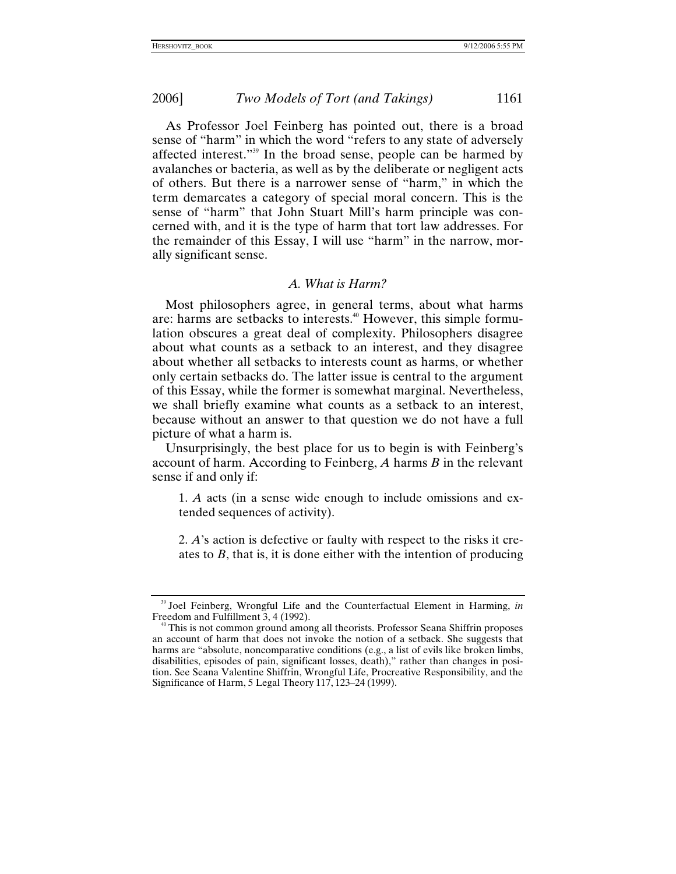As Professor Joel Feinberg has pointed out, there is a broad sense of "harm" in which the word "refers to any state of adversely affected interest.["39](#page-15-0) In the broad sense, people can be harmed by avalanches or bacteria, as well as by the deliberate or negligent acts of others. But there is a narrower sense of "harm," in which the term demarcates a category of special moral concern. This is the sense of "harm" that John Stuart Mill's harm principle was concerned with, and it is the type of harm that tort law addresses. For the remainder of this Essay, I will use "harm" in the narrow, morally significant sense.

### *A. What is Harm?*

Most philosophers agree, in general terms, about what harms are: harms are setbacks to interests.<sup>40</sup> However, this simple formulation obscures a great deal of complexity. Philosophers disagree about what counts as a setback to an interest, and they disagree about whether all setbacks to interests count as harms, or whether only certain setbacks do. The latter issue is central to the argument of this Essay, while the former is somewhat marginal. Nevertheless, we shall briefly examine what counts as a setback to an interest, because without an answer to that question we do not have a full picture of what a harm is.

Unsurprisingly, the best place for us to begin is with Feinberg's account of harm. According to Feinberg, *A* harms *B* in the relevant sense if and only if:

1. *A* acts (in a sense wide enough to include omissions and extended sequences of activity).

2. *A*'s action is defective or faulty with respect to the risks it creates to *B*, that is, it is done either with the intention of producing

<span id="page-15-0"></span><sup>&</sup>lt;sup>39</sup> Joel Feinberg, Wrongful Life and the Counterfactual Element in Harming, *in* Freedom and Fulfillment 3, 4 (1992).

<span id="page-15-1"></span> $\frac{40}{10}$ This is not common ground among all theorists. Professor Seana Shiffrin proposes an account of harm that does not invoke the notion of a setback. She suggests that harms are "absolute, noncomparative conditions (e.g., a list of evils like broken limbs, disabilities, episodes of pain, significant losses, death)," rather than changes in position. See Seana Valentine Shiffrin, Wrongful Life, Procreative Responsibility, and the Significance of Harm, 5 Legal Theory 117, 123–24 (1999).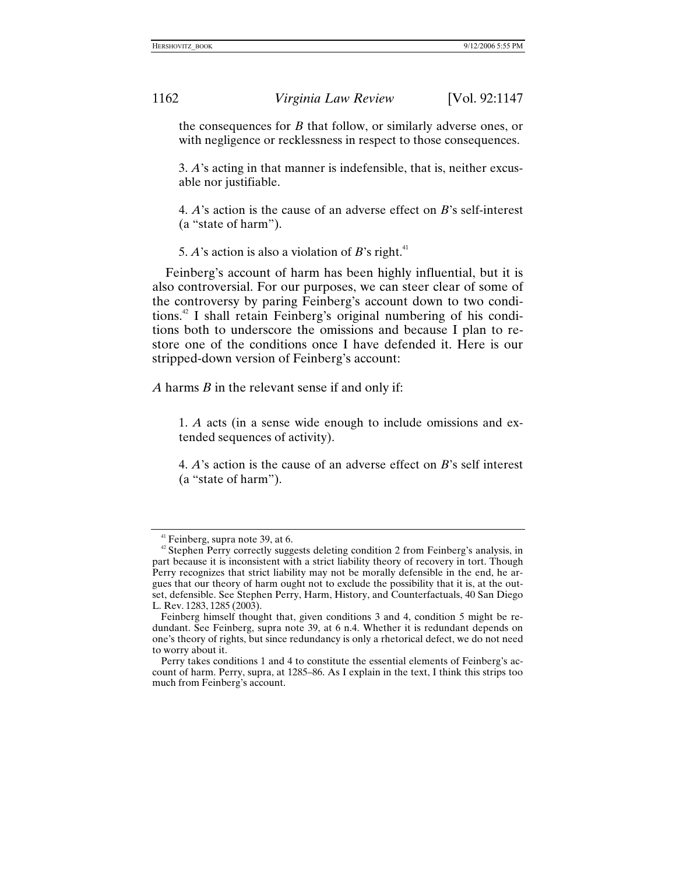the consequences for *B* that follow, or similarly adverse ones, or with negligence or recklessness in respect to those consequences.

3. *A*'s acting in that manner is indefensible, that is, neither excusable nor justifiable.

4. *A*'s action is the cause of an adverse effect on *B*'s self-interest (a "state of harm").

5. A's action is also a violation of *B*'s right.<sup>[41](#page-16-0)</sup>

Feinberg's account of harm has been highly influential, but it is also controversial. For our purposes, we can steer clear of some of the controversy by paring Feinberg's account down to two conditions[.42](#page-16-1) I shall retain Feinberg's original numbering of his conditions both to underscore the omissions and because I plan to restore one of the conditions once I have defended it. Here is our stripped-down version of Feinberg's account:

*A* harms *B* in the relevant sense if and only if:

1. *A* acts (in a sense wide enough to include omissions and extended sequences of activity).

4. *A*'s action is the cause of an adverse effect on *B*'s self interest (a "state of harm").

<span id="page-16-1"></span>

<span id="page-16-0"></span><sup>&</sup>lt;sup>41</sup> Feinberg, supra note 39, at 6.  $\frac{42}{1}$  Stephen Perry correctly suggests deleting condition 2 from Feinberg's analysis, in part because it is inconsistent with a strict liability theory of recovery in tort. Though Perry recognizes that strict liability may not be morally defensible in the end, he argues that our theory of harm ought not to exclude the possibility that it is, at the outset, defensible. See Stephen Perry, Harm, History, and Counterfactuals, 40 San Diego L. Rev. 1283, 1285 (2003).

Feinberg himself thought that, given conditions 3 and 4, condition 5 might be redundant. See Feinberg, supra note 39, at 6 n.4. Whether it is redundant depends on one's theory of rights, but since redundancy is only a rhetorical defect, we do not need to worry about it.

Perry takes conditions 1 and 4 to constitute the essential elements of Feinberg's account of harm. Perry, supra, at 1285–86. As I explain in the text, I think this strips too much from Feinberg's account.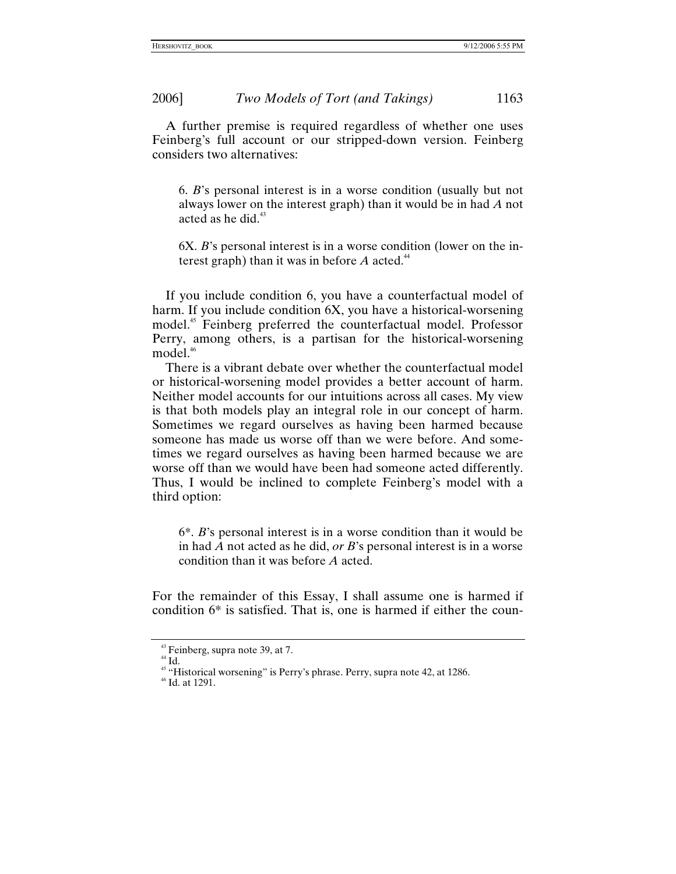A further premise is required regardless of whether one uses Feinberg's full account or our stripped-down version. Feinberg considers two alternatives:

6. *B*'s personal interest is in a worse condition (usually but not always lower on the interest graph) than it would be in had *A* not acted as he did. $43$ 

6X. *B*'s personal interest is in a worse condition (lower on the interestgraph) than it was in before  $A$  acted.<sup>44</sup>

If you include condition 6, you have a counterfactual model of harm. If you include condition 6X, you have a historical-worsening model[.45](#page-17-1) Feinberg preferred the counterfactual model. Professor Perry, among others, is a partisan for the historical-worsening model.<sup>46</sup>

There is a vibrant debate over whether the counterfactual model or historical-worsening model provides a better account of harm. Neither model accounts for our intuitions across all cases. My view is that both models play an integral role in our concept of harm. Sometimes we regard ourselves as having been harmed because someone has made us worse off than we were before. And sometimes we regard ourselves as having been harmed because we are worse off than we would have been had someone acted differently. Thus, I would be inclined to complete Feinberg's model with a third option:

6\*. *B*'s personal interest is in a worse condition than it would be in had *A* not acted as he did, *or B*'s personal interest is in a worse condition than it was before *A* acted.

For the remainder of this Essay, I shall assume one is harmed if condition 6\* is satisfied. That is, one is harmed if either the coun-

<span id="page-17-1"></span><span id="page-17-0"></span>

<sup>&</sup>lt;sup>43</sup> Feinberg, supra note 39, at 7.<br><sup>44</sup> Id.<br><sup>45</sup> "Historical worsening" is Perry's phrase. Perry, supra note 42, at 1286.<br><sup>46</sup> Id. at 1291.

<span id="page-17-2"></span>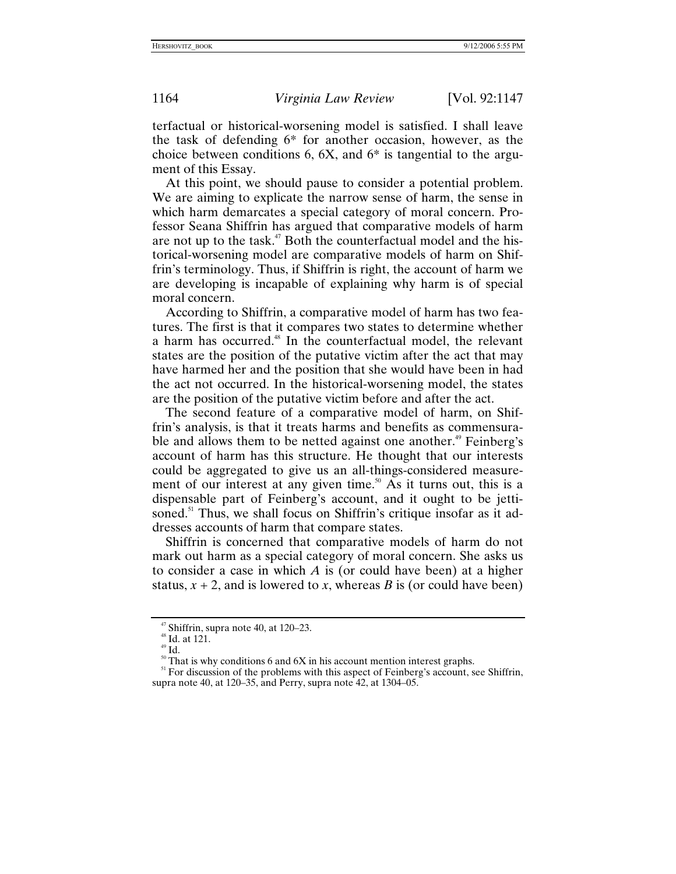terfactual or historical-worsening model is satisfied. I shall leave the task of defending 6\* for another occasion, however, as the choice between conditions 6, 6X, and 6\* is tangential to the argument of this Essay.

At this point, we should pause to consider a potential problem. We are aiming to explicate the narrow sense of harm, the sense in which harm demarcates a special category of moral concern. Professor Seana Shiffrin has argued that comparative models of harm are not up to the task.<sup>47</sup> Both the counterfactual model and the historical-worsening model are comparative models of harm on Shiffrin's terminology. Thus, if Shiffrin is right, the account of harm we are developing is incapable of explaining why harm is of special moral concern.

According to Shiffrin, a comparative model of harm has two features. The first is that it compares two states to determine whether a harm has occurred.<sup>48</sup> In the counterfactual model, the relevant states are the position of the putative victim after the act that may have harmed her and the position that she would have been in had the act not occurred. In the historical-worsening model, the states are the position of the putative victim before and after the act.

The second feature of a comparative model of harm, on Shiffrin's analysis, is that it treats harms and benefits as commensurable and allows them to be netted against one another.<sup>49</sup> Feinberg's account of harm has this structure. He thought that our interests could be aggregated to give us an all-things-considered measurement of our interest at any given time.<sup>50</sup> As it turns out, this is a dispensable part of Feinberg's account, and it ought to be jettisoned.<sup>51</sup> Thus, we shall focus on Shiffrin's critique insofar as it addresses accounts of harm that compare states.

Shiffrin is concerned that comparative models of harm do not mark out harm as a special category of moral concern. She asks us to consider a case in which *A* is (or could have been) at a higher status,  $x + 2$ , and is lowered to x, whereas B is (or could have been)

<span id="page-18-1"></span>

<span id="page-18-2"></span>

<span id="page-18-4"></span><span id="page-18-3"></span>

<span id="page-18-0"></span><sup>&</sup>lt;sup>47</sup> Shiffrin, supra note 40, at 120–23.<br><sup>48</sup> Id. at 121.<br><sup>50</sup> Id. 50<br>That is why conditions 6 and 6X in his account mention interest graphs.<br><sup>51</sup> For discussion of the problems with this aspect of Feinberg's account, see supra note 40, at 120–35, and Perry, supra note 42, at 1304–05.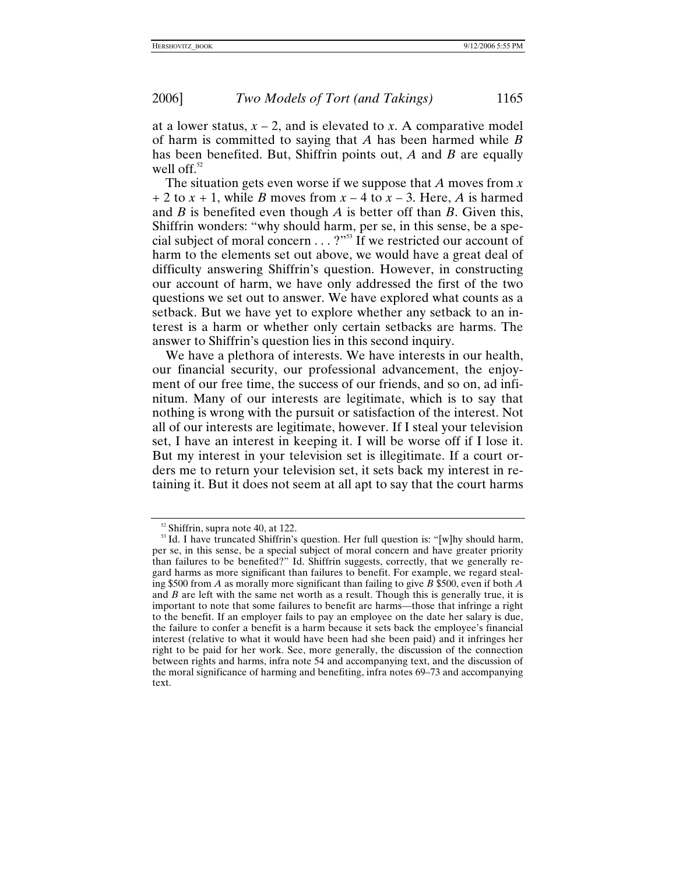at a lower status,  $x - 2$ , and is elevated to *x*. A comparative model of harm is committed to saying that *A* has been harmed while *B*  has been benefited. But, Shiffrin points out, *A* and *B* are equally well off. $52$ 

The situation gets even worse if we suppose that *A* moves from *x*   $+ 2$  to  $x + 1$ , while *B* moves from  $x - 4$  to  $x - 3$ . Here, *A* is harmed and *B* is benefited even though *A* is better off than *B*. Given this, Shiffrin wonders: "why should harm, per se, in this sense, be a special subject of moral concern . . . ?"[53](#page-19-1) If we restricted our account of harm to the elements set out above, we would have a great deal of difficulty answering Shiffrin's question. However, in constructing our account of harm, we have only addressed the first of the two questions we set out to answer. We have explored what counts as a setback. But we have yet to explore whether any setback to an interest is a harm or whether only certain setbacks are harms. The answer to Shiffrin's question lies in this second inquiry.

We have a plethora of interests. We have interests in our health, our financial security, our professional advancement, the enjoyment of our free time, the success of our friends, and so on, ad infinitum. Many of our interests are legitimate, which is to say that nothing is wrong with the pursuit or satisfaction of the interest. Not all of our interests are legitimate, however. If I steal your television set, I have an interest in keeping it. I will be worse off if I lose it. But my interest in your television set is illegitimate. If a court orders me to return your television set, it sets back my interest in retaining it. But it does not seem at all apt to say that the court harms

<span id="page-19-1"></span>

<span id="page-19-0"></span><sup>&</sup>lt;sup>52</sup> Shiffrin, supra note 40, at 122.<br><sup>53</sup> Id. I have truncated Shiffrin's question. Her full question is: "[w]hy should harm, per se, in this sense, be a special subject of moral concern and have greater priority than failures to be benefited?" Id. Shiffrin suggests, correctly, that we generally regard harms as more significant than failures to benefit. For example, we regard stealing \$500 from *A* as morally more significant than failing to give *B* \$500, even if both *A* and *B* are left with the same net worth as a result. Though this is generally true, it is important to note that some failures to benefit are harms—those that infringe a right to the benefit. If an employer fails to pay an employee on the date her salary is due, the failure to confer a benefit is a harm because it sets back the employee's financial interest (relative to what it would have been had she been paid) and it infringes her right to be paid for her work. See, more generally, the discussion of the connection between rights and harms, infra note 54 and accompanying text, and the discussion of the moral significance of harming and benefiting, infra notes 69–73 and accompanying text.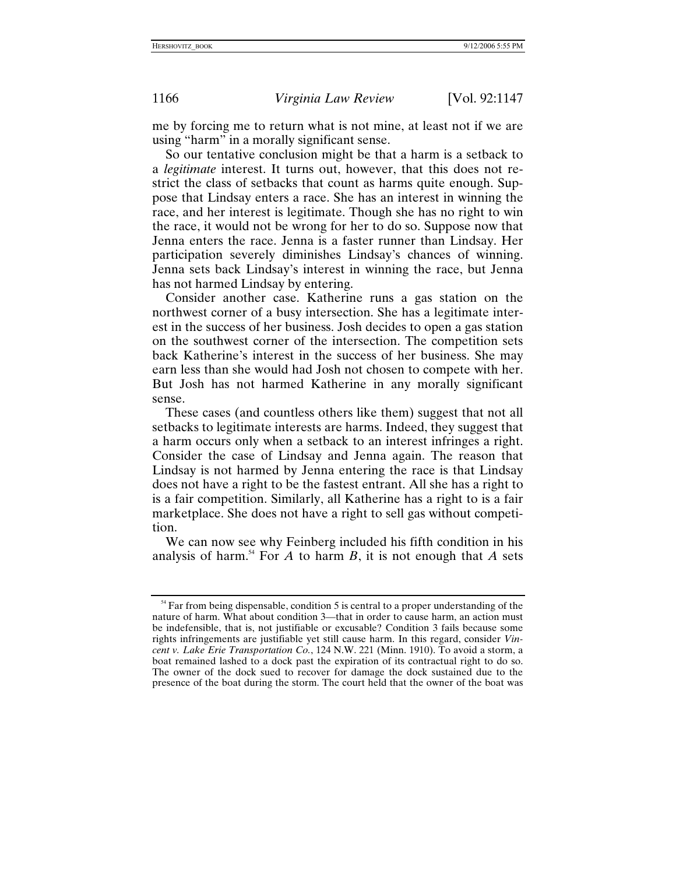me by forcing me to return what is not mine, at least not if we are using "harm" in a morally significant sense.

So our tentative conclusion might be that a harm is a setback to a *legitimate* interest. It turns out, however, that this does not restrict the class of setbacks that count as harms quite enough. Suppose that Lindsay enters a race. She has an interest in winning the race, and her interest is legitimate. Though she has no right to win the race, it would not be wrong for her to do so. Suppose now that Jenna enters the race. Jenna is a faster runner than Lindsay. Her participation severely diminishes Lindsay's chances of winning. Jenna sets back Lindsay's interest in winning the race, but Jenna has not harmed Lindsay by entering.

Consider another case. Katherine runs a gas station on the northwest corner of a busy intersection. She has a legitimate interest in the success of her business. Josh decides to open a gas station on the southwest corner of the intersection. The competition sets back Katherine's interest in the success of her business. She may earn less than she would had Josh not chosen to compete with her. But Josh has not harmed Katherine in any morally significant sense.

These cases (and countless others like them) suggest that not all setbacks to legitimate interests are harms. Indeed, they suggest that a harm occurs only when a setback to an interest infringes a right. Consider the case of Lindsay and Jenna again. The reason that Lindsay is not harmed by Jenna entering the race is that Lindsay does not have a right to be the fastest entrant. All she has a right to is a fair competition. Similarly, all Katherine has a right to is a fair marketplace. She does not have a right to sell gas without competition.

We can now see why Feinberg included his fifth condition in his analysis of harm.<sup>54</sup> For *A* to harm *B*, it is not enough that *A* sets

<span id="page-20-0"></span><sup>&</sup>lt;sup>54</sup> Far from being dispensable, condition 5 is central to a proper understanding of the nature of harm. What about condition 3—that in order to cause harm, an action must be indefensible, that is, not justifiable or excusable? Condition 3 fails because some rights infringements are justifiable yet still cause harm. In this regard, consider *Vincent v. Lake Erie Transportation Co.*, 124 N.W. 221 (Minn. 1910). To avoid a storm, a boat remained lashed to a dock past the expiration of its contractual right to do so. The owner of the dock sued to recover for damage the dock sustained due to the presence of the boat during the storm. The court held that the owner of the boat was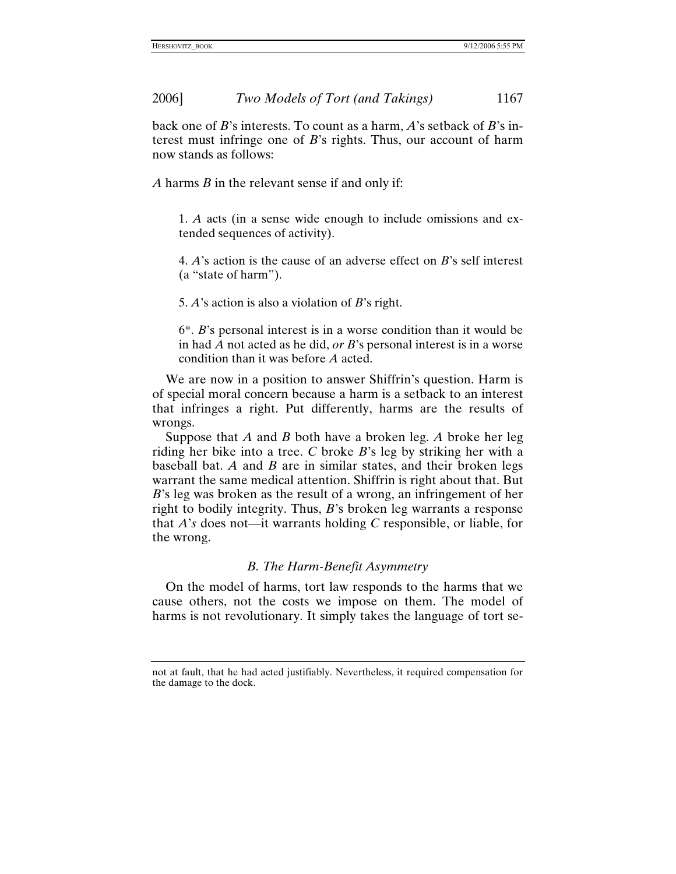back one of *B*'s interests. To count as a harm, *A*'s setback of *B*'s interest must infringe one of *B*'s rights. Thus, our account of harm now stands as follows:

*A* harms *B* in the relevant sense if and only if:

1. *A* acts (in a sense wide enough to include omissions and extended sequences of activity).

4. *A*'s action is the cause of an adverse effect on *B*'s self interest (a "state of harm").

5. *A*'s action is also a violation of *B*'s right.

6\*. *B*'s personal interest is in a worse condition than it would be in had *A* not acted as he did, *or B*'s personal interest is in a worse condition than it was before *A* acted.

We are now in a position to answer Shiffrin's question. Harm is of special moral concern because a harm is a setback to an interest that infringes a right. Put differently, harms are the results of wrongs.

Suppose that *A* and *B* both have a broken leg. *A* broke her leg riding her bike into a tree. *C* broke *B*'s leg by striking her with a baseball bat. *A* and *B* are in similar states, and their broken legs warrant the same medical attention. Shiffrin is right about that. But *B*'s leg was broken as the result of a wrong, an infringement of her right to bodily integrity. Thus, *B*'s broken leg warrants a response that *A*'*s* does not—it warrants holding *C* responsible, or liable, for the wrong.

# *B. The Harm-Benefit Asymmetry*

On the model of harms, tort law responds to the harms that we cause others, not the costs we impose on them. The model of harms is not revolutionary. It simply takes the language of tort se-

not at fault, that he had acted justifiably. Nevertheless, it required compensation for the damage to the dock.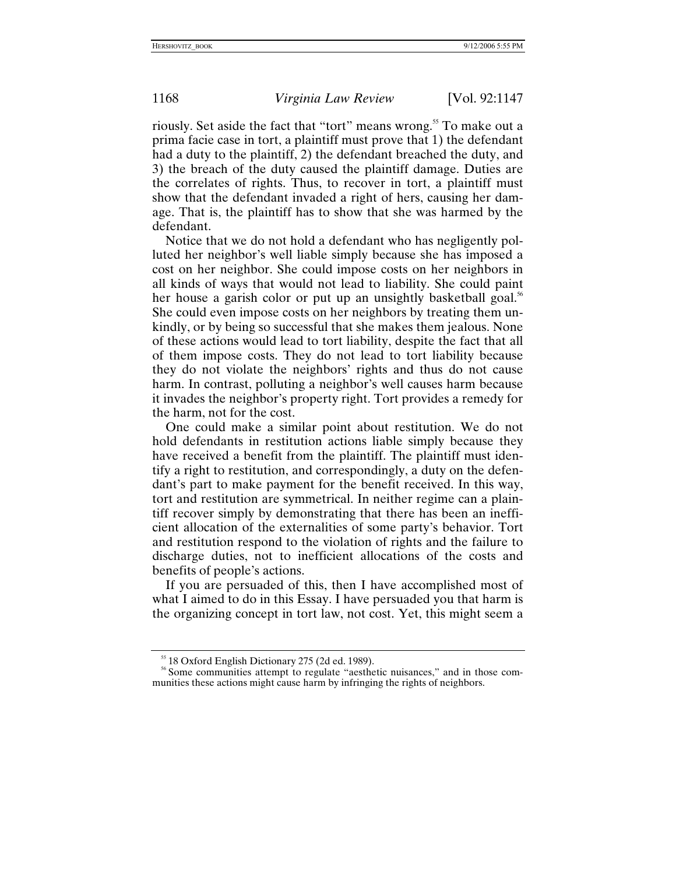riously. Set aside the fact that "tort" means wrong.<sup>55</sup> To make out a prima facie case in tort, a plaintiff must prove that 1) the defendant had a duty to the plaintiff, 2) the defendant breached the duty, and 3) the breach of the duty caused the plaintiff damage. Duties are the correlates of rights. Thus, to recover in tort, a plaintiff must show that the defendant invaded a right of hers, causing her damage. That is, the plaintiff has to show that she was harmed by the defendant.

Notice that we do not hold a defendant who has negligently polluted her neighbor's well liable simply because she has imposed a cost on her neighbor. She could impose costs on her neighbors in all kinds of ways that would not lead to liability. She could paint her house a garish color or put up an unsightly basketball goal.<sup>56</sup> She could even impose costs on her neighbors by treating them unkindly, or by being so successful that she makes them jealous. None of these actions would lead to tort liability, despite the fact that all of them impose costs. They do not lead to tort liability because they do not violate the neighbors' rights and thus do not cause harm. In contrast, polluting a neighbor's well causes harm because it invades the neighbor's property right. Tort provides a remedy for the harm, not for the cost.

One could make a similar point about restitution. We do not hold defendants in restitution actions liable simply because they have received a benefit from the plaintiff. The plaintiff must identify a right to restitution, and correspondingly, a duty on the defendant's part to make payment for the benefit received. In this way, tort and restitution are symmetrical. In neither regime can a plaintiff recover simply by demonstrating that there has been an inefficient allocation of the externalities of some party's behavior. Tort and restitution respond to the violation of rights and the failure to discharge duties, not to inefficient allocations of the costs and benefits of people's actions.

If you are persuaded of this, then I have accomplished most of what I aimed to do in this Essay. I have persuaded you that harm is the organizing concept in tort law, not cost. Yet, this might seem a

<span id="page-22-1"></span>

<span id="page-22-0"></span> $55$  18 Oxford English Dictionary 275 (2d ed. 1989).<br> $56$  Some communities attempt to regulate "aesthetic nuisances," and in those communities these actions might cause harm by infringing the rights of neighbors.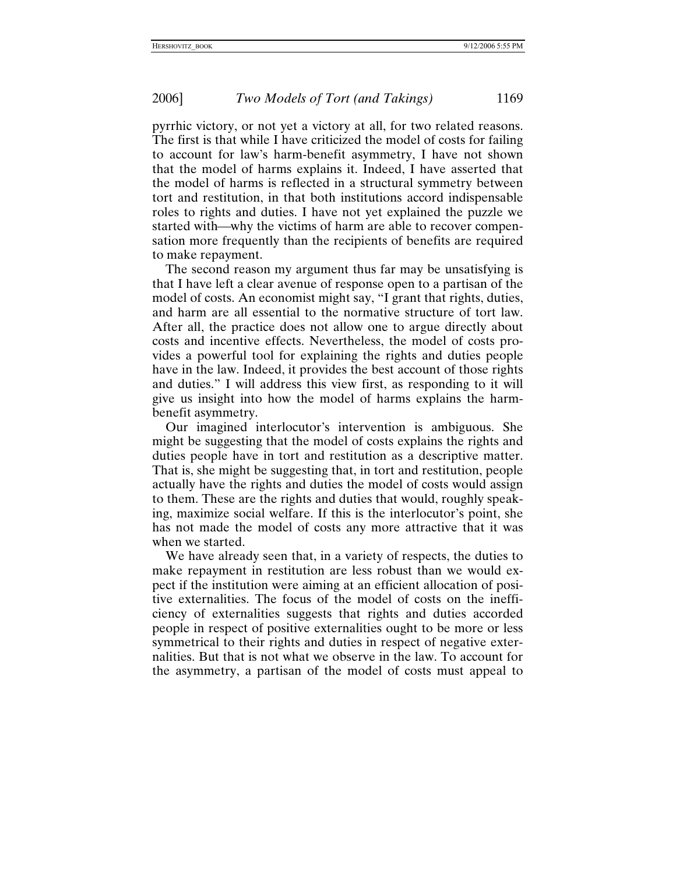pyrrhic victory, or not yet a victory at all, for two related reasons. The first is that while I have criticized the model of costs for failing to account for law's harm-benefit asymmetry, I have not shown that the model of harms explains it. Indeed, I have asserted that the model of harms is reflected in a structural symmetry between tort and restitution, in that both institutions accord indispensable roles to rights and duties. I have not yet explained the puzzle we started with—why the victims of harm are able to recover compensation more frequently than the recipients of benefits are required to make repayment.

The second reason my argument thus far may be unsatisfying is that I have left a clear avenue of response open to a partisan of the model of costs. An economist might say, "I grant that rights, duties, and harm are all essential to the normative structure of tort law. After all, the practice does not allow one to argue directly about costs and incentive effects. Nevertheless, the model of costs provides a powerful tool for explaining the rights and duties people have in the law. Indeed, it provides the best account of those rights and duties." I will address this view first, as responding to it will give us insight into how the model of harms explains the harmbenefit asymmetry.

Our imagined interlocutor's intervention is ambiguous. She might be suggesting that the model of costs explains the rights and duties people have in tort and restitution as a descriptive matter. That is, she might be suggesting that, in tort and restitution, people actually have the rights and duties the model of costs would assign to them. These are the rights and duties that would, roughly speaking, maximize social welfare. If this is the interlocutor's point, she has not made the model of costs any more attractive that it was when we started.

We have already seen that, in a variety of respects, the duties to make repayment in restitution are less robust than we would expect if the institution were aiming at an efficient allocation of positive externalities. The focus of the model of costs on the inefficiency of externalities suggests that rights and duties accorded people in respect of positive externalities ought to be more or less symmetrical to their rights and duties in respect of negative externalities. But that is not what we observe in the law. To account for the asymmetry, a partisan of the model of costs must appeal to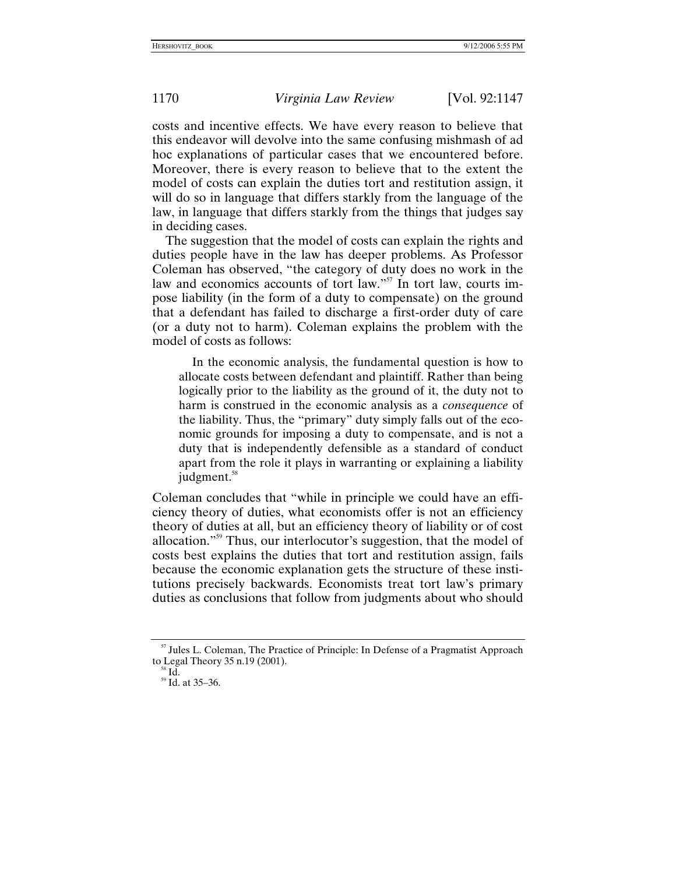costs and incentive effects. We have every reason to believe that this endeavor will devolve into the same confusing mishmash of ad hoc explanations of particular cases that we encountered before. Moreover, there is every reason to believe that to the extent the model of costs can explain the duties tort and restitution assign, it will do so in language that differs starkly from the language of the law, in language that differs starkly from the things that judges say in deciding cases.

The suggestion that the model of costs can explain the rights and duties people have in the law has deeper problems. As Professor Coleman has observed, "the category of duty does no work in the law and economics accounts of tort law."<sup>57</sup> In tort law, courts impose liability (in the form of a duty to compensate) on the ground that a defendant has failed to discharge a first-order duty of care (or a duty not to harm). Coleman explains the problem with the model of costs as follows:

In the economic analysis, the fundamental question is how to allocate costs between defendant and plaintiff. Rather than being logically prior to the liability as the ground of it, the duty not to harm is construed in the economic analysis as a *consequence* of the liability. Thus, the "primary" duty simply falls out of the economic grounds for imposing a duty to compensate, and is not a duty that is independently defensible as a standard of conduct apart from the role it plays in warranting or explaining a liability judgment.<sup>58</sup>

Coleman concludes that "while in principle we could have an efficiency theory of duties, what economists offer is not an efficiency theory of duties at all, but an efficiency theory of liability or of cost allocation."[59](#page-24-2) Thus, our interlocutor's suggestion, that the model of costs best explains the duties that tort and restitution assign, fails because the economic explanation gets the structure of these institutions precisely backwards. Economists treat tort law's primary duties as conclusions that follow from judgments about who should

<span id="page-24-0"></span> $57$  Jules L. Coleman, The Practice of Principle: In Defense of a Pragmatist Approach to Legal Theory 35 n.19 (2001).

<span id="page-24-1"></span> $t_{\text{59}}^{\text{58}}$  Id. at 35–36.

<span id="page-24-2"></span>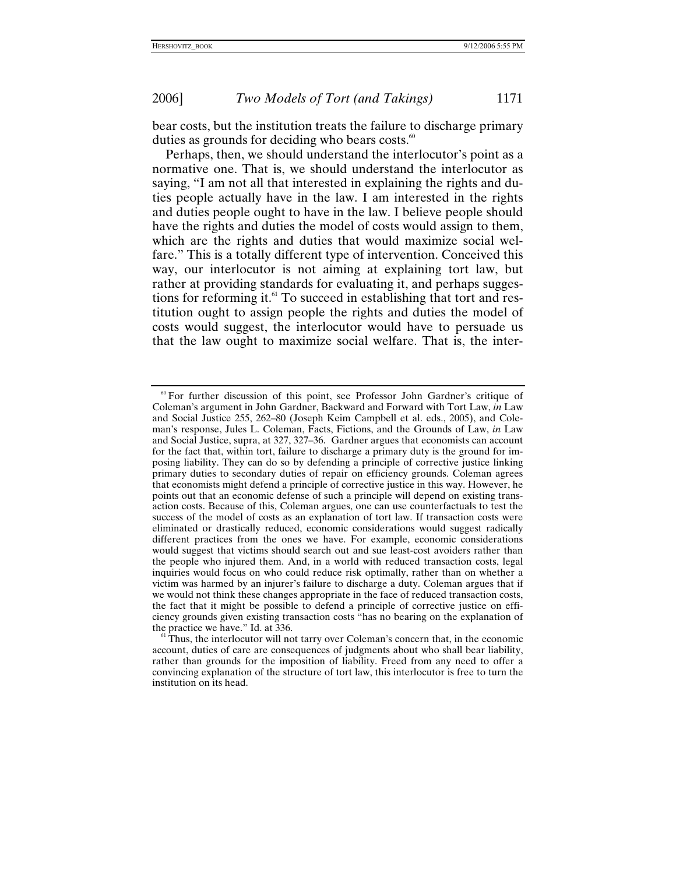bear costs, but the institution treats the failure to discharge primary duties as grounds for deciding who bears costs. $\degree$ 

Perhaps, then, we should understand the interlocutor's point as a normative one. That is, we should understand the interlocutor as saying, "I am not all that interested in explaining the rights and duties people actually have in the law. I am interested in the rights and duties people ought to have in the law. I believe people should have the rights and duties the model of costs would assign to them, which are the rights and duties that would maximize social welfare." This is a totally different type of intervention. Conceived this way, our interlocutor is not aiming at explaining tort law, but rather at providing standards for evaluating it, and perhaps suggestions for reforming it. $61$  To succeed in establishing that tort and restitution ought to assign people the rights and duties the model of costs would suggest, the interlocutor would have to persuade us that the law ought to maximize social welfare. That is, the inter-

<span id="page-25-0"></span><sup>60</sup> For further discussion of this point, see Professor John Gardner's critique of Coleman's argument in John Gardner, Backward and Forward with Tort Law, *in* Law and Social Justice 255, 262–80 (Joseph Keim Campbell et al. eds., 2005), and Coleman's response, Jules L. Coleman, Facts, Fictions, and the Grounds of Law, *in* Law and Social Justice, supra, at 327, 327–36. Gardner argues that economists can account for the fact that, within tort, failure to discharge a primary duty is the ground for imposing liability. They can do so by defending a principle of corrective justice linking primary duties to secondary duties of repair on efficiency grounds. Coleman agrees that economists might defend a principle of corrective justice in this way. However, he points out that an economic defense of such a principle will depend on existing transaction costs. Because of this, Coleman argues, one can use counterfactuals to test the success of the model of costs as an explanation of tort law. If transaction costs were eliminated or drastically reduced, economic considerations would suggest radically different practices from the ones we have. For example, economic considerations would suggest that victims should search out and sue least-cost avoiders rather than the people who injured them. And, in a world with reduced transaction costs, legal inquiries would focus on who could reduce risk optimally, rather than on whether a victim was harmed by an injurer's failure to discharge a duty. Coleman argues that if we would not think these changes appropriate in the face of reduced transaction costs, the fact that it might be possible to defend a principle of corrective justice on efficiency grounds given existing transaction costs "has no bearing on the explanation of

<span id="page-25-1"></span>Thus, the interlocutor will not tarry over Coleman's concern that, in the economic account, duties of care are consequences of judgments about who shall bear liability, rather than grounds for the imposition of liability. Freed from any need to offer a convincing explanation of the structure of tort law, this interlocutor is free to turn the institution on its head.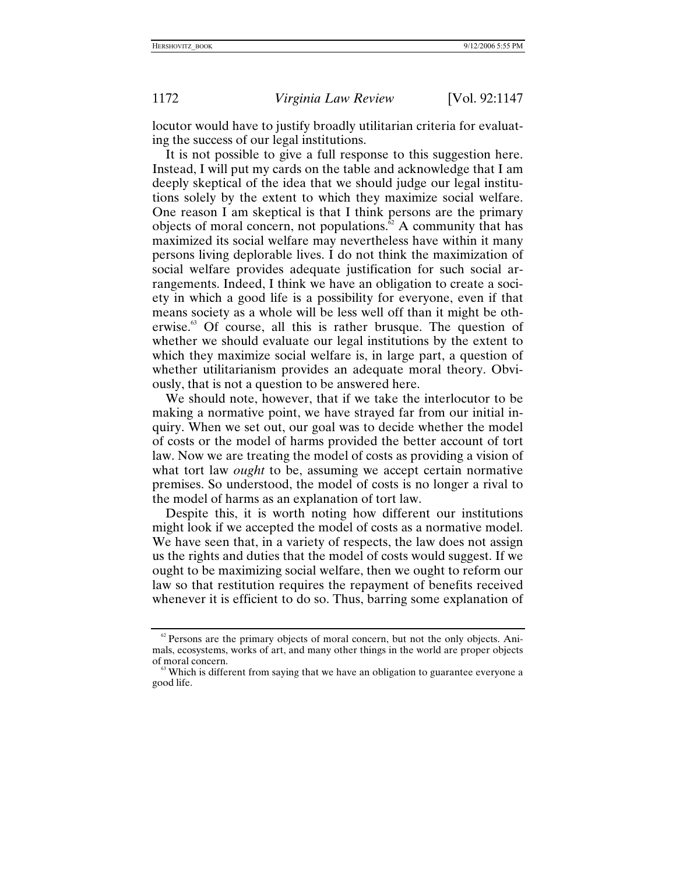locutor would have to justify broadly utilitarian criteria for evaluating the success of our legal institutions.

It is not possible to give a full response to this suggestion here. Instead, I will put my cards on the table and acknowledge that I am deeply skeptical of the idea that we should judge our legal institutions solely by the extent to which they maximize social welfare. One reason I am skeptical is that I think persons are the primary objects of moral concern, not populations. $\frac{3}{6}$  A community that has maximized its social welfare may nevertheless have within it many persons living deplorable lives. I do not think the maximization of social welfare provides adequate justification for such social arrangements. Indeed, I think we have an obligation to create a society in which a good life is a possibility for everyone, even if that means society as a whole will be less well off than it might be otherwise. $63$  Of course, all this is rather brusque. The question of whether we should evaluate our legal institutions by the extent to which they maximize social welfare is, in large part, a question of whether utilitarianism provides an adequate moral theory. Obviously, that is not a question to be answered here.

We should note, however, that if we take the interlocutor to be making a normative point, we have strayed far from our initial inquiry. When we set out, our goal was to decide whether the model of costs or the model of harms provided the better account of tort law. Now we are treating the model of costs as providing a vision of what tort law *ought* to be, assuming we accept certain normative premises. So understood, the model of costs is no longer a rival to the model of harms as an explanation of tort law.

Despite this, it is worth noting how different our institutions might look if we accepted the model of costs as a normative model. We have seen that, in a variety of respects, the law does not assign us the rights and duties that the model of costs would suggest. If we ought to be maximizing social welfare, then we ought to reform our law so that restitution requires the repayment of benefits received whenever it is efficient to do so. Thus, barring some explanation of

<span id="page-26-0"></span> $62$  Persons are the primary objects of moral concern, but not the only objects. Animals, ecosystems, works of art, and many other things in the world are proper objects

<span id="page-26-1"></span>Which is different from saying that we have an obligation to guarantee everyone a good life.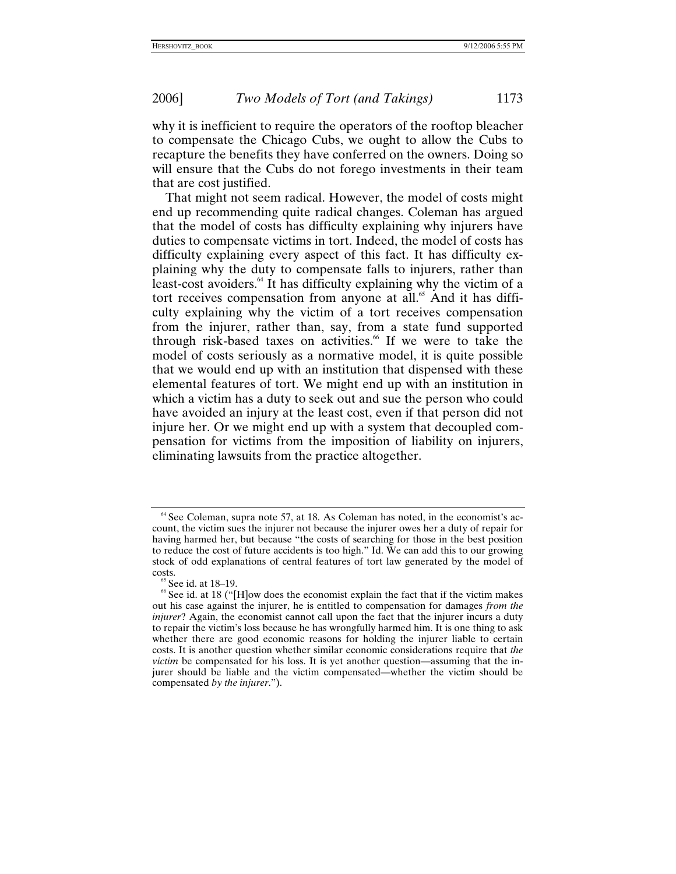why it is inefficient to require the operators of the rooftop bleacher to compensate the Chicago Cubs, we ought to allow the Cubs to recapture the benefits they have conferred on the owners. Doing so will ensure that the Cubs do not forego investments in their team that are cost justified.

That might not seem radical. However, the model of costs might end up recommending quite radical changes. Coleman has argued that the model of costs has difficulty explaining why injurers have duties to compensate victims in tort. Indeed, the model of costs has difficulty explaining every aspect of this fact. It has difficulty explaining why the duty to compensate falls to injurers, rather than least-cost avoiders.<sup>64</sup> It has difficulty explaining why the victim of a tort receives compensation from anyone at all.<sup>65</sup> And it has difficulty explaining why the victim of a tort receives compensation from the injurer, rather than, say, from a state fund supported through risk-based taxes on activities.<sup>66</sup> If we were to take the model of costs seriously as a normative model, it is quite possible that we would end up with an institution that dispensed with these elemental features of tort. We might end up with an institution in which a victim has a duty to seek out and sue the person who could have avoided an injury at the least cost, even if that person did not injure her. Or we might end up with a system that decoupled compensation for victims from the imposition of liability on injurers, eliminating lawsuits from the practice altogether.

<span id="page-27-0"></span> $64$  See Coleman, supra note 57, at 18. As Coleman has noted, in the economist's account, the victim sues the injurer not because the injurer owes her a duty of repair for having harmed her, but because "the costs of searching for those in the best position to reduce the cost of future accidents is too high." Id. We can add this to our growing stock of odd explanations of central features of tort law generated by the model of

<span id="page-27-2"></span><span id="page-27-1"></span>

costs.<br><sup>65</sup> See id. at 18–19.<br><sup>66</sup> See id. at 18 ("[H]ow does the economist explain the fact that if the victim makes out his case against the injurer, he is entitled to compensation for damages *from the injurer*? Again, the economist cannot call upon the fact that the injurer incurs a duty to repair the victim's loss because he has wrongfully harmed him. It is one thing to ask whether there are good economic reasons for holding the injurer liable to certain costs. It is another question whether similar economic considerations require that *the victim* be compensated for his loss. It is yet another question—assuming that the injurer should be liable and the victim compensated—whether the victim should be compensated *by the injurer*.").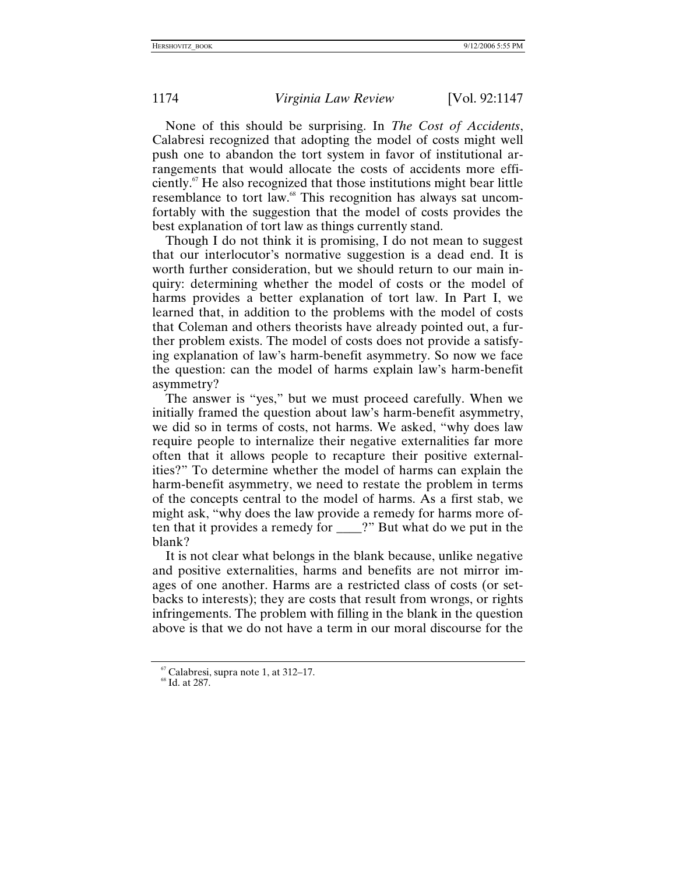None of this should be surprising. In *The Cost of Accidents*, Calabresi recognized that adopting the model of costs might well push one to abandon the tort system in favor of institutional arrangements that would allocate the costs of accidents more efficiently[.67](#page-28-0) He also recognized that those institutions might bear little resemblance to tort law.<sup>68</sup> This recognition has always sat uncomfortably with the suggestion that the model of costs provides the best explanation of tort law as things currently stand.

Though I do not think it is promising, I do not mean to suggest that our interlocutor's normative suggestion is a dead end. It is worth further consideration, but we should return to our main inquiry: determining whether the model of costs or the model of harms provides a better explanation of tort law. In Part I, we learned that, in addition to the problems with the model of costs that Coleman and others theorists have already pointed out, a further problem exists. The model of costs does not provide a satisfying explanation of law's harm-benefit asymmetry. So now we face the question: can the model of harms explain law's harm-benefit asymmetry?

The answer is "yes," but we must proceed carefully. When we initially framed the question about law's harm-benefit asymmetry, we did so in terms of costs, not harms. We asked, "why does law require people to internalize their negative externalities far more often that it allows people to recapture their positive externalities?" To determine whether the model of harms can explain the harm-benefit asymmetry, we need to restate the problem in terms of the concepts central to the model of harms. As a first stab, we might ask, "why does the law provide a remedy for harms more often that it provides a remedy for \_\_\_\_?" But what do we put in the blank?

It is not clear what belongs in the blank because, unlike negative and positive externalities, harms and benefits are not mirror images of one another. Harms are a restricted class of costs (or setbacks to interests); they are costs that result from wrongs, or rights infringements. The problem with filling in the blank in the question above is that we do not have a term in our moral discourse for the

<span id="page-28-0"></span> $<sup>67</sup>$  Calabresi, supra note 1, at 312–17.  $<sup>68</sup>$  Id. at 287.</sup></sup>

<span id="page-28-1"></span>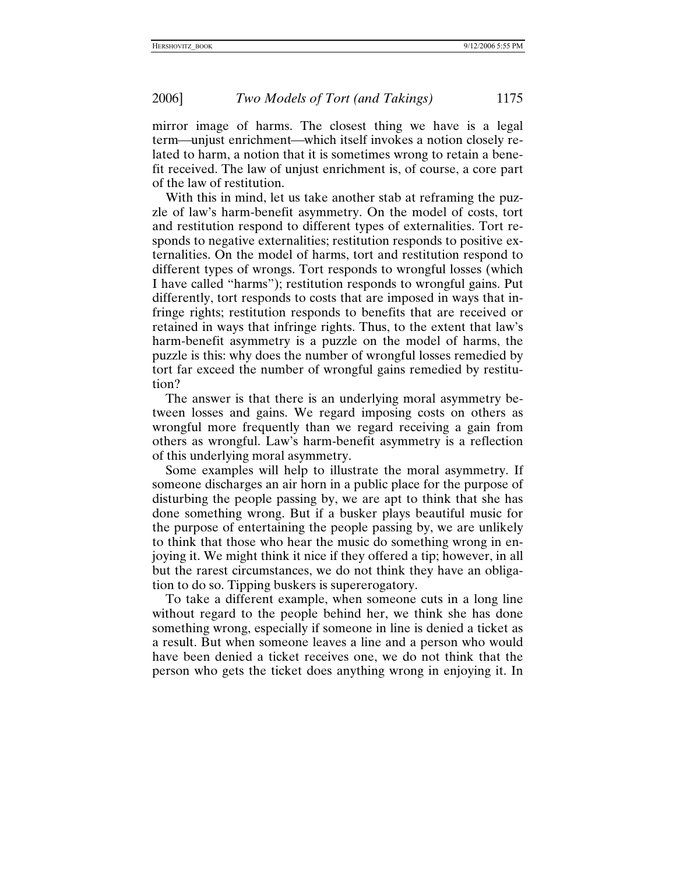mirror image of harms. The closest thing we have is a legal term—unjust enrichment—which itself invokes a notion closely related to harm, a notion that it is sometimes wrong to retain a benefit received. The law of unjust enrichment is, of course, a core part of the law of restitution.

With this in mind, let us take another stab at reframing the puzzle of law's harm-benefit asymmetry. On the model of costs, tort and restitution respond to different types of externalities. Tort responds to negative externalities; restitution responds to positive externalities. On the model of harms, tort and restitution respond to different types of wrongs. Tort responds to wrongful losses (which I have called "harms"); restitution responds to wrongful gains. Put differently, tort responds to costs that are imposed in ways that infringe rights; restitution responds to benefits that are received or retained in ways that infringe rights. Thus, to the extent that law's harm-benefit asymmetry is a puzzle on the model of harms, the puzzle is this: why does the number of wrongful losses remedied by tort far exceed the number of wrongful gains remedied by restitution?

The answer is that there is an underlying moral asymmetry between losses and gains. We regard imposing costs on others as wrongful more frequently than we regard receiving a gain from others as wrongful. Law's harm-benefit asymmetry is a reflection of this underlying moral asymmetry.

Some examples will help to illustrate the moral asymmetry. If someone discharges an air horn in a public place for the purpose of disturbing the people passing by, we are apt to think that she has done something wrong. But if a busker plays beautiful music for the purpose of entertaining the people passing by, we are unlikely to think that those who hear the music do something wrong in enjoying it. We might think it nice if they offered a tip; however, in all but the rarest circumstances, we do not think they have an obligation to do so. Tipping buskers is supererogatory.

To take a different example, when someone cuts in a long line without regard to the people behind her, we think she has done something wrong, especially if someone in line is denied a ticket as a result. But when someone leaves a line and a person who would have been denied a ticket receives one, we do not think that the person who gets the ticket does anything wrong in enjoying it. In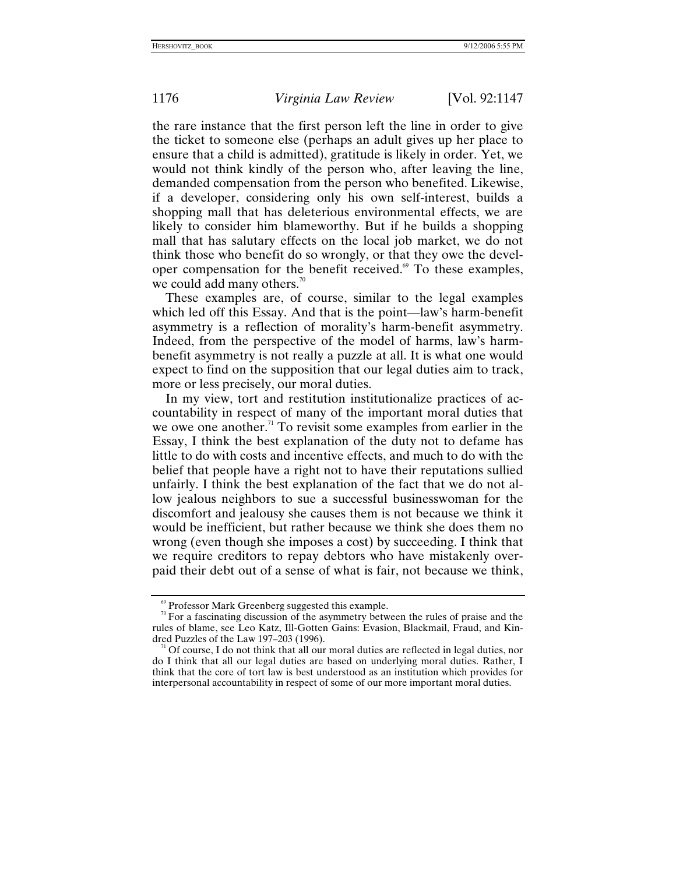the rare instance that the first person left the line in order to give the ticket to someone else (perhaps an adult gives up her place to ensure that a child is admitted), gratitude is likely in order. Yet, we would not think kindly of the person who, after leaving the line, demanded compensation from the person who benefited. Likewise, if a developer, considering only his own self-interest, builds a shopping mall that has deleterious environmental effects, we are likely to consider him blameworthy. But if he builds a shopping mall that has salutary effects on the local job market, we do not think those who benefit do so wrongly, or that they owe the developer compensation for the benefit received. $\mathcal{F}$  To these examples, we could add many others.<sup>70</sup>

These examples are, of course, similar to the legal examples which led off this Essay. And that is the point—law's harm-benefit asymmetry is a reflection of morality's harm-benefit asymmetry. Indeed, from the perspective of the model of harms, law's harmbenefit asymmetry is not really a puzzle at all. It is what one would expect to find on the supposition that our legal duties aim to track, more or less precisely, our moral duties.

In my view, tort and restitution institutionalize practices of accountability in respect of many of the important moral duties that we owe one another.<sup>71</sup> To revisit some examples from earlier in the Essay, I think the best explanation of the duty not to defame has little to do with costs and incentive effects, and much to do with the belief that people have a right not to have their reputations sullied unfairly. I think the best explanation of the fact that we do not allow jealous neighbors to sue a successful businesswoman for the discomfort and jealousy she causes them is not because we think it would be inefficient, but rather because we think she does them no wrong (even though she imposes a cost) by succeeding. I think that we require creditors to repay debtors who have mistakenly overpaid their debt out of a sense of what is fair, not because we think,

<span id="page-30-1"></span><span id="page-30-0"></span><sup>&</sup>lt;sup>69</sup> Professor Mark Greenberg suggested this example.<br><sup>70</sup> For a fascinating discussion of the asymmetry between the rules of praise and the rules of blame, see Leo Katz, Ill-Gotten Gains: Evasion, Blackmail, Fraud, and Kin-

<span id="page-30-2"></span> $\alpha$ <sup>1</sup> Of course, I do not think that all our moral duties are reflected in legal duties, nor do I think that all our legal duties are based on underlying moral duties. Rather, I think that the core of tort law is best understood as an institution which provides for interpersonal accountability in respect of some of our more important moral duties.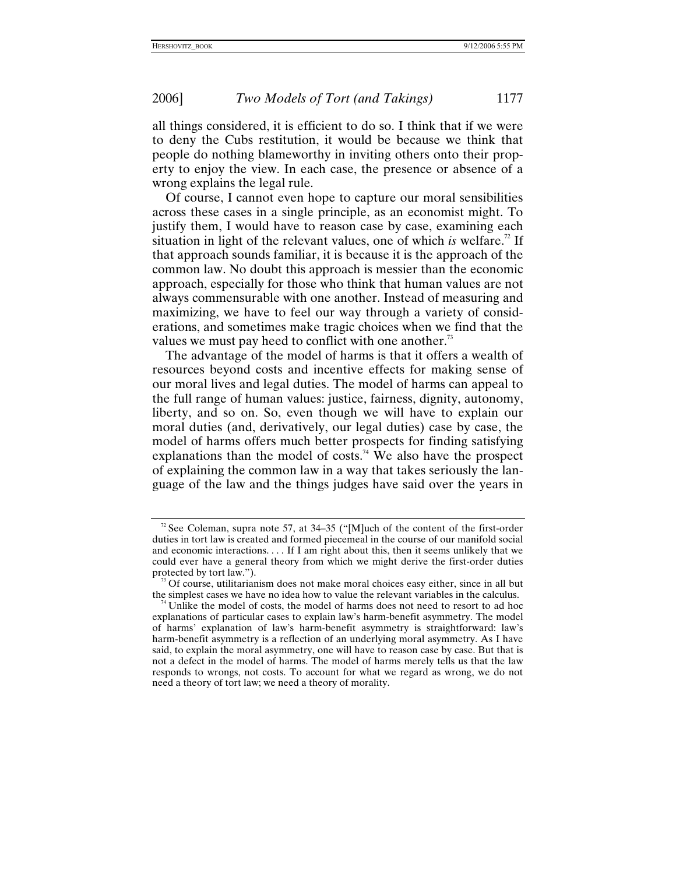all things considered, it is efficient to do so. I think that if we were to deny the Cubs restitution, it would be because we think that people do nothing blameworthy in inviting others onto their property to enjoy the view. In each case, the presence or absence of a wrong explains the legal rule.

Of course, I cannot even hope to capture our moral sensibilities across these cases in a single principle, as an economist might. To justify them, I would have to reason case by case, examining each situation in light of the relevant values, one of which *is* welfare.<sup>72</sup> If that approach sounds familiar, it is because it is the approach of the common law. No doubt this approach is messier than the economic approach, especially for those who think that human values are not always commensurable with one another. Instead of measuring and maximizing, we have to feel our way through a variety of considerations, and sometimes make tragic choices when we find that the values we must pay heed to conflict with one another.<sup>73</sup>

The advantage of the model of harms is that it offers a wealth of resources beyond costs and incentive effects for making sense of our moral lives and legal duties. The model of harms can appeal to the full range of human values: justice, fairness, dignity, autonomy, liberty, and so on. So, even though we will have to explain our moral duties (and, derivatively, our legal duties) case by case, the model of harms offers much better prospects for finding satisfying explanations than the model of costs.<sup>74</sup> We also have the prospect of explaining the common law in a way that takes seriously the language of the law and the things judges have said over the years in

<span id="page-31-0"></span> $72$  See Coleman, supra note 57, at 34–35 ("[M]uch of the content of the first-order duties in tort law is created and formed piecemeal in the course of our manifold social and economic interactions. . . . If I am right about this, then it seems unlikely that we could ever have a general theory from which we might derive the first-order duties

<span id="page-31-1"></span>protected by tort law.").<br><sup>73</sup> Of course, utilitarianism does not make moral choices easy either, since in all but the simplest cases we have no idea how to value the relevant variables in the calculus.

<span id="page-31-2"></span>Unlike the model of costs, the model of harms does not need to resort to ad hoc explanations of particular cases to explain law's harm-benefit asymmetry. The model of harms' explanation of law's harm-benefit asymmetry is straightforward: law's harm-benefit asymmetry is a reflection of an underlying moral asymmetry. As I have said, to explain the moral asymmetry, one will have to reason case by case. But that is not a defect in the model of harms. The model of harms merely tells us that the law responds to wrongs, not costs. To account for what we regard as wrong, we do not need a theory of tort law; we need a theory of morality.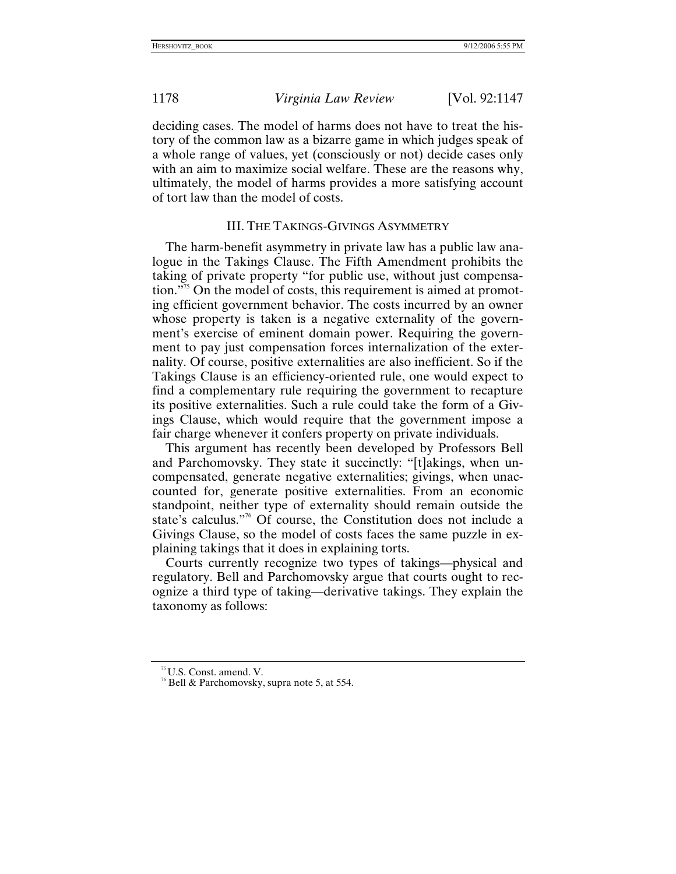deciding cases. The model of harms does not have to treat the history of the common law as a bizarre game in which judges speak of a whole range of values, yet (consciously or not) decide cases only with an aim to maximize social welfare. These are the reasons why, ultimately, the model of harms provides a more satisfying account of tort law than the model of costs.

# III. THE TAKINGS-GIVINGS ASYMMETRY

The harm-benefit asymmetry in private law has a public law analogue in the Takings Clause. The Fifth Amendment prohibits the taking of private property "for public use, without just compensation."[75 O](#page-32-0)n the model of costs, this requirement is aimed at promoting efficient government behavior. The costs incurred by an owner whose property is taken is a negative externality of the government's exercise of eminent domain power. Requiring the government to pay just compensation forces internalization of the externality. Of course, positive externalities are also inefficient. So if the Takings Clause is an efficiency-oriented rule, one would expect to find a complementary rule requiring the government to recapture its positive externalities. Such a rule could take the form of a Givings Clause, which would require that the government impose a fair charge whenever it confers property on private individuals.

This argument has recently been developed by Professors Bell and Parchomovsky. They state it succinctly: "[t]akings, when uncompensated, generate negative externalities; givings, when unaccounted for, generate positive externalities. From an economic standpoint, neither type of externality should remain outside the state's calculus.["76](#page-32-1) Of course, the Constitution does not include a Givings Clause, so the model of costs faces the same puzzle in explaining takings that it does in explaining torts.

Courts currently recognize two types of takings—physical and regulatory. Bell and Parchomovsky argue that courts ought to recognize a third type of taking—derivative takings. They explain the taxonomy as follows:

<span id="page-32-1"></span>

<span id="page-32-0"></span><sup>&</sup>lt;sup>75</sup> U.S. Const. amend. V.<br><sup>76</sup> Bell & Parchomovsky, supra note 5, at 554.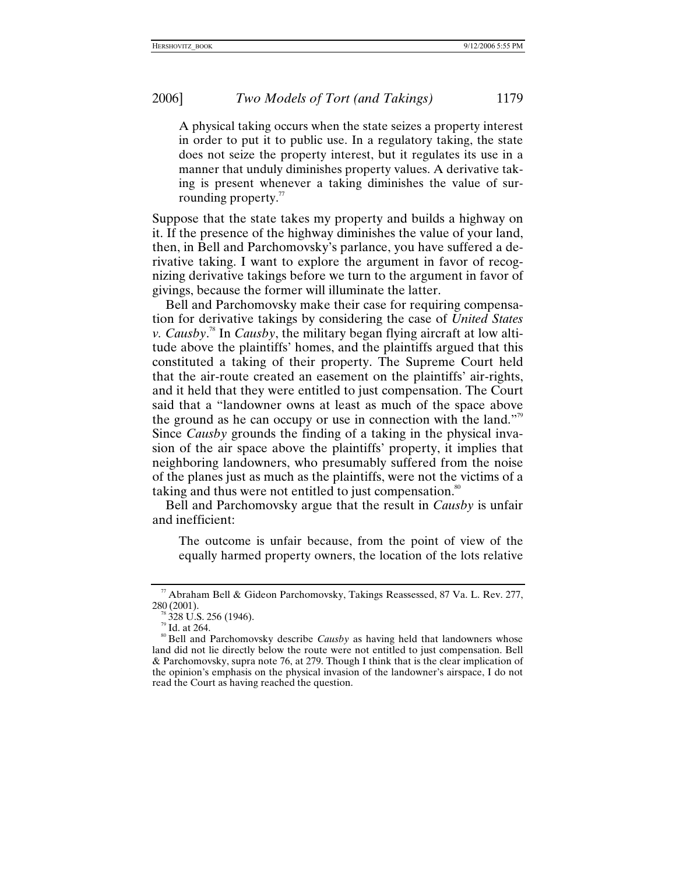A physical taking occurs when the state seizes a property interest in order to put it to public use. In a regulatory taking, the state does not seize the property interest, but it regulates its use in a manner that unduly diminishes property values. A derivative taking is present whenever a taking diminishes the value of surrounding property. $\frac{7}{7}$ 

Suppose that the state takes my property and builds a highway on it. If the presence of the highway diminishes the value of your land, then, in Bell and Parchomovsky's parlance, you have suffered a derivative taking. I want to explore the argument in favor of recognizing derivative takings before we turn to the argument in favor of givings, because the former will illuminate the latter.

Bell and Parchomovsky make their case for requiring compensation for derivative takings by considering the case of *United States v. Causby*. [78](#page-33-1) In *Causby*, the military began flying aircraft at low altitude above the plaintiffs' homes, and the plaintiffs argued that this constituted a taking of their property. The Supreme Court held that the air-route created an easement on the plaintiffs' air-rights, and it held that they were entitled to just compensation. The Court said that a "landowner owns at least as much of the space above the ground as he can occupy or use in connection with the land."<sup>9</sup> Since *Causby* grounds the finding of a taking in the physical inva-

sion of the air space above the plaintiffs' property, it implies that neighboring landowners, who presumably suffered from the noise of the planes just as much as the plaintiffs, were not the victims of a taking and thus were not entitled to just compensation.<sup>[80](#page-33-3)</sup>

Bell and Parchomovsky argue that the result in *Causby* is unfair and inefficient:

The outcome is unfair because, from the point of view of the equally harmed property owners, the location of the lots relative

<span id="page-33-0"></span><sup>&</sup>lt;sup>77</sup> Abraham Bell & Gideon Parchomovsky, Takings Reassessed, 87 Va. L. Rev. 277, 280 (2001).

<span id="page-33-3"></span><span id="page-33-2"></span>

<span id="page-33-1"></span><sup>&</sup>lt;sup>78</sup> 328 U.S. 256 (1946).<br><sup>79</sup> Id. at 264.<br><sup>80</sup> Bell and Parchomovsky describe *Causby* as having held that landowners whose land did not lie directly below the route were not entitled to just compensation. Bell & Parchomovsky, supra note 76, at 279. Though I think that is the clear implication of the opinion's emphasis on the physical invasion of the landowner's airspace, I do not read the Court as having reached the question.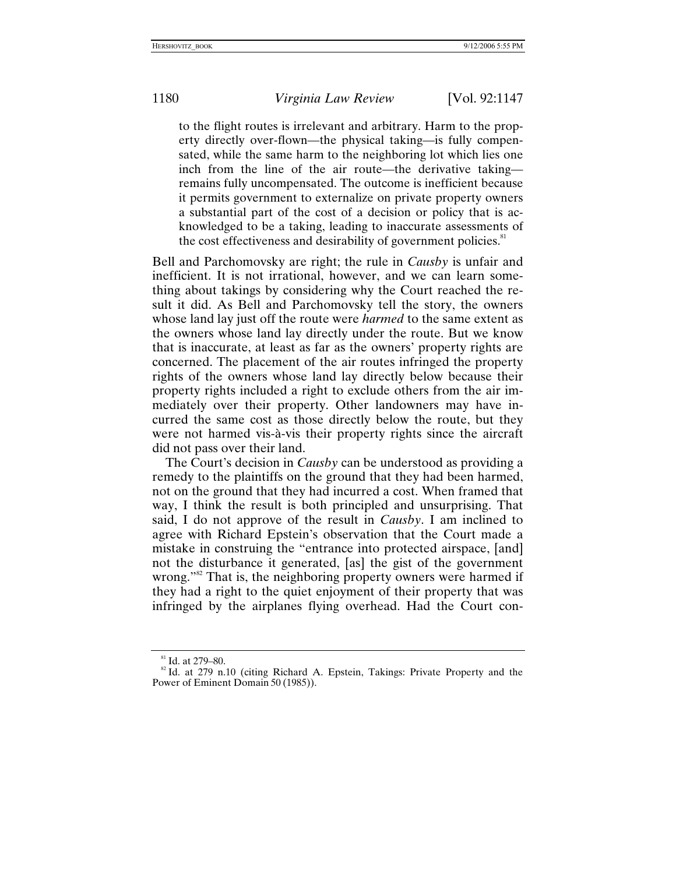to the flight routes is irrelevant and arbitrary. Harm to the property directly over-flown—the physical taking—is fully compensated, while the same harm to the neighboring lot which lies one inch from the line of the air route—the derivative taking remains fully uncompensated. The outcome is inefficient because it permits government to externalize on private property owners a substantial part of the cost of a decision or policy that is acknowledged to be a taking, leading to inaccurate assessments of the cost effectiveness and desirability of government policies.<sup>81</sup>

Bell and Parchomovsky are right; the rule in *Causby* is unfair and inefficient. It is not irrational, however, and we can learn something about takings by considering why the Court reached the result it did. As Bell and Parchomovsky tell the story, the owners whose land lay just off the route were *harmed* to the same extent as the owners whose land lay directly under the route. But we know that is inaccurate, at least as far as the owners' property rights are concerned. The placement of the air routes infringed the property rights of the owners whose land lay directly below because their property rights included a right to exclude others from the air immediately over their property. Other landowners may have incurred the same cost as those directly below the route, but they were not harmed vis-à-vis their property rights since the aircraft did not pass over their land.

The Court's decision in *Causby* can be understood as providing a remedy to the plaintiffs on the ground that they had been harmed, not on the ground that they had incurred a cost. When framed that way, I think the result is both principled and unsurprising. That said, I do not approve of the result in *Causby*. I am inclined to agree with Richard Epstein's observation that the Court made a mistake in construing the "entrance into protected airspace, [and] not the disturbance it generated, [as] the gist of the government wrong."<sup>82</sup> That is, the neighboring property owners were harmed if they had a right to the quiet enjoyment of their property that was infringed by the airplanes flying overhead. Had the Court con-

<span id="page-34-0"></span>

 $81$  Id. at 279–80.<br> $82$  Id. at 279 n.10 (citing Richard A. Epstein, Takings: Private Property and the Power of Eminent Domain 50 (1985)).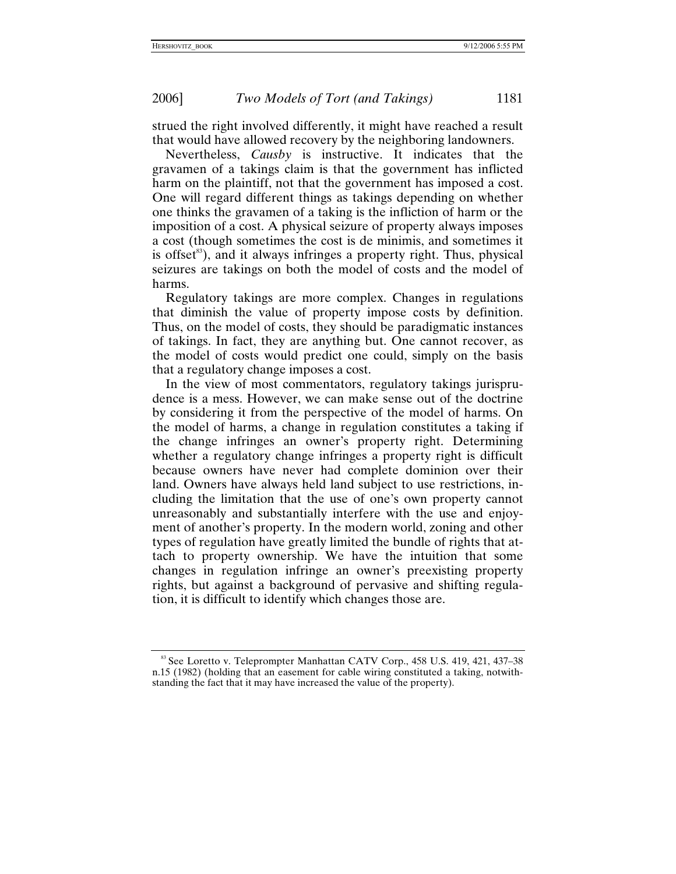strued the right involved differently, it might have reached a result that would have allowed recovery by the neighboring landowners.

Nevertheless, *Causby* is instructive. It indicates that the gravamen of a takings claim is that the government has inflicted harm on the plaintiff, not that the government has imposed a cost. One will regard different things as takings depending on whether one thinks the gravamen of a taking is the infliction of harm or the imposition of a cost. A physical seizure of property always imposes a cost (though sometimes the cost is de minimis, and sometimes it is offset $^{83}$ ), and it always infringes a property right. Thus, physical seizures are takings on both the model of costs and the model of harms.

Regulatory takings are more complex. Changes in regulations that diminish the value of property impose costs by definition. Thus, on the model of costs, they should be paradigmatic instances of takings. In fact, they are anything but. One cannot recover, as the model of costs would predict one could, simply on the basis that a regulatory change imposes a cost.

In the view of most commentators, regulatory takings jurisprudence is a mess. However, we can make sense out of the doctrine by considering it from the perspective of the model of harms. On the model of harms, a change in regulation constitutes a taking if the change infringes an owner's property right. Determining whether a regulatory change infringes a property right is difficult because owners have never had complete dominion over their land. Owners have always held land subject to use restrictions, including the limitation that the use of one's own property cannot unreasonably and substantially interfere with the use and enjoyment of another's property. In the modern world, zoning and other types of regulation have greatly limited the bundle of rights that attach to property ownership. We have the intuition that some changes in regulation infringe an owner's preexisting property rights, but against a background of pervasive and shifting regulation, it is difficult to identify which changes those are.

<span id="page-35-0"></span><sup>83</sup> See Loretto v. Teleprompter Manhattan CATV Corp., 458 U.S. 419, 421, 437–38 n.15 (1982) (holding that an easement for cable wiring constituted a taking, notwithstanding the fact that it may have increased the value of the property).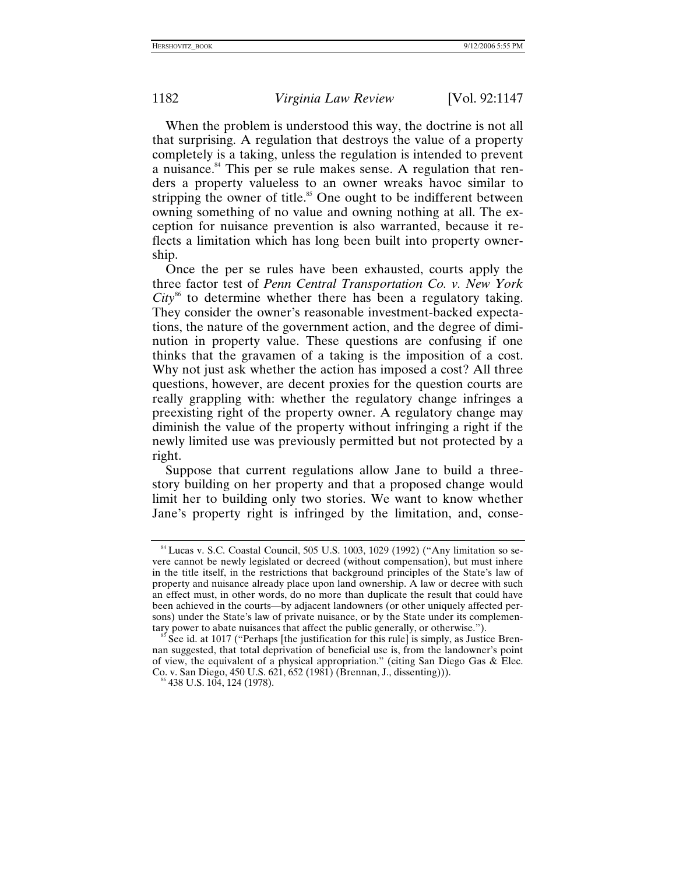When the problem is understood this way, the doctrine is not all that surprising. A regulation that destroys the value of a property completely is a taking, unless the regulation is intended to prevent a nuisance.<sup>84</sup> This per se rule makes sense. A regulation that renders a property valueless to an owner wreaks havoc similar to stripping the owner of title.<sup>85</sup> One ought to be indifferent between owning something of no value and owning nothing at all. The exception for nuisance prevention is also warranted, because it reflects a limitation which has long been built into property ownership.

Once the per se rules have been exhausted, courts apply the three factor test of *Penn Central Transportation Co. v. New York*   $City^8$  to determine whether there has been a regulatory taking. They consider the owner's reasonable investment-backed expectations, the nature of the government action, and the degree of diminution in property value. These questions are confusing if one thinks that the gravamen of a taking is the imposition of a cost. Why not just ask whether the action has imposed a cost? All three questions, however, are decent proxies for the question courts are really grappling with: whether the regulatory change infringes a preexisting right of the property owner. A regulatory change may diminish the value of the property without infringing a right if the newly limited use was previously permitted but not protected by a right.

Suppose that current regulations allow Jane to build a threestory building on her property and that a proposed change would limit her to building only two stories. We want to know whether Jane's property right is infringed by the limitation, and, conse-

<span id="page-36-0"></span><sup>&</sup>lt;sup>84</sup> Lucas v. S.C. Coastal Council, 505 U.S. 1003, 1029 (1992) ("Any limitation so severe cannot be newly legislated or decreed (without compensation), but must inhere in the title itself, in the restrictions that background principles of the State's law of property and nuisance already place upon land ownership. A law or decree with such an effect must, in other words, do no more than duplicate the result that could have been achieved in the courts—by adjacent landowners (or other uniquely affected persons) under the State's law of private nuisance, or by the State under its complemen-<br>tary power to abate nuisances that affect the public generally, or otherwise.").

<span id="page-36-1"></span>See id. at 1017 ("Perhaps [the justification for this rule] is simply, as Justice Brennan suggested, that total deprivation of beneficial use is, from the landowner's point of view, the equivalent of a physical appropriation." (citing San Diego Gas & Elec. Co. v. San Diego, 450 U.S. 621, 652 (1981) (Brennan, J., dissenting))). <sup>86</sup> 438 U.S. 104, 124 (1978).

<span id="page-36-2"></span>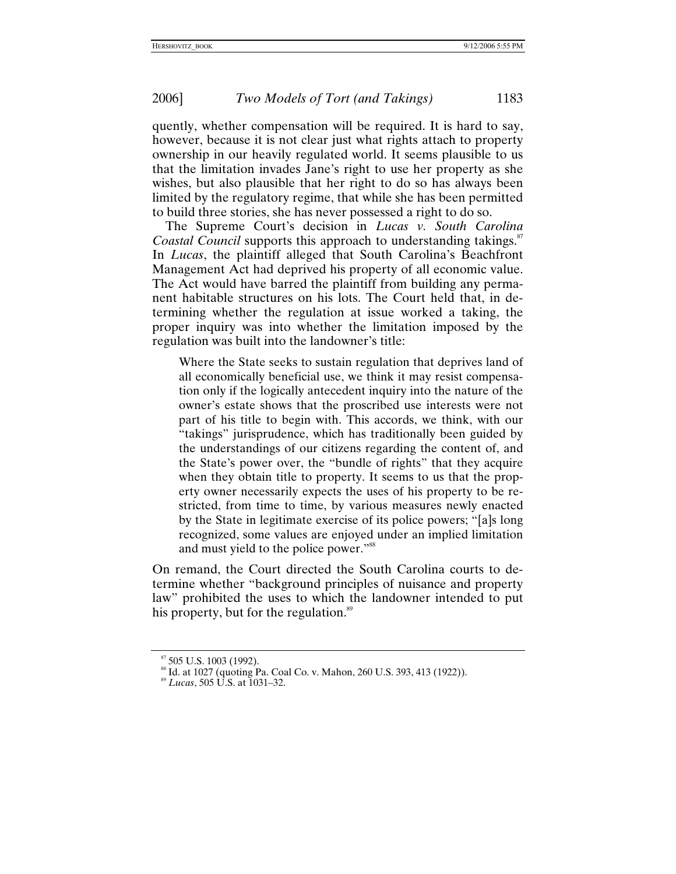quently, whether compensation will be required. It is hard to say, however, because it is not clear just what rights attach to property ownership in our heavily regulated world. It seems plausible to us that the limitation invades Jane's right to use her property as she wishes, but also plausible that her right to do so has always been limited by the regulatory regime, that while she has been permitted to build three stories, she has never possessed a right to do so.

The Supreme Court's decision in *Lucas v. South Carolina Coastal Council* supports this approach to understanding takings.<sup>87</sup> In *Lucas*, the plaintiff alleged that South Carolina's Beachfront Management Act had deprived his property of all economic value. The Act would have barred the plaintiff from building any permanent habitable structures on his lots. The Court held that, in determining whether the regulation at issue worked a taking, the proper inquiry was into whether the limitation imposed by the regulation was built into the landowner's title:

Where the State seeks to sustain regulation that deprives land of all economically beneficial use, we think it may resist compensation only if the logically antecedent inquiry into the nature of the owner's estate shows that the proscribed use interests were not part of his title to begin with. This accords, we think, with our "takings" jurisprudence, which has traditionally been guided by the understandings of our citizens regarding the content of, and the State's power over, the "bundle of rights" that they acquire when they obtain title to property. It seems to us that the property owner necessarily expects the uses of his property to be restricted, from time to time, by various measures newly enacted by the State in legitimate exercise of its police powers; "[a]s long recognized, some values are enjoyed under an implied limitation and must yield to the police power."<sup>88</sup>

On remand, the Court directed the South Carolina courts to determine whether "background principles of nuisance and property law" prohibited the uses to which the landowner intended to put his property, but for the regulation.<sup>89</sup>

<span id="page-37-1"></span><span id="page-37-0"></span>

<sup>&</sup>lt;sup>87</sup> 505 U.S. 1003 (1992).<br><sup>88</sup> Id. at 1027 (quoting Pa. Coal Co. v. Mahon, 260 U.S. 393, 413 (1922)).<br><sup>89</sup> *Lucas*, 505 U.S. at 1031–32.

<span id="page-37-2"></span>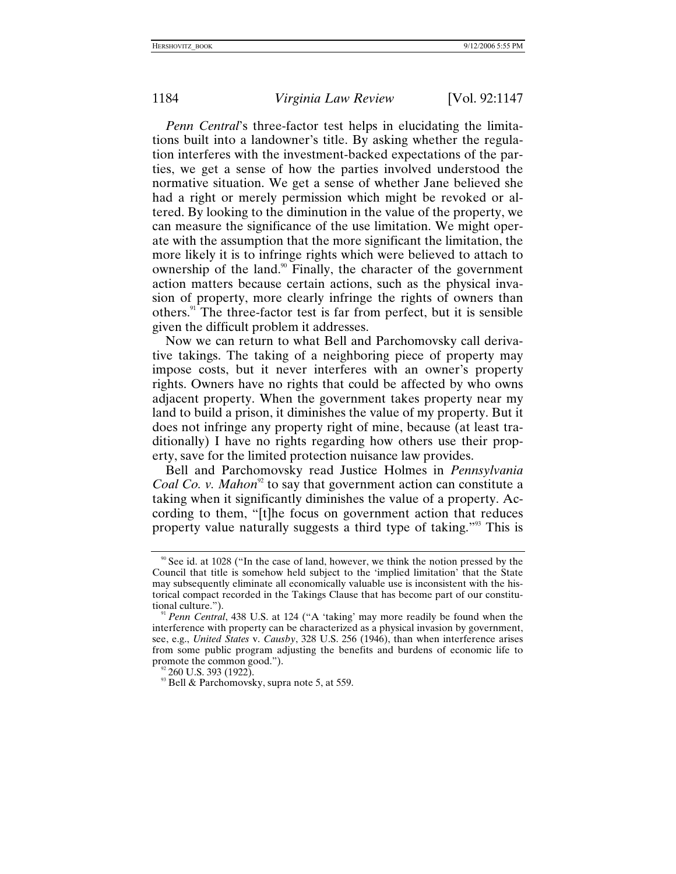*Penn Central*'s three-factor test helps in elucidating the limitations built into a landowner's title. By asking whether the regulation interferes with the investment-backed expectations of the parties, we get a sense of how the parties involved understood the normative situation. We get a sense of whether Jane believed she had a right or merely permission which might be revoked or altered. By looking to the diminution in the value of the property, we can measure the significance of the use limitation. We might operate with the assumption that the more significant the limitation, the more likely it is to infringe rights which were believed to attach to ownership of the land.<sup>90</sup> Finally, the character of the government action matters because certain actions, such as the physical invasion of property, more clearly infringe the rights of owners than others[.91](#page-38-1) The three-factor test is far from perfect, but it is sensible given the difficult problem it addresses.

Now we can return to what Bell and Parchomovsky call derivative takings. The taking of a neighboring piece of property may impose costs, but it never interferes with an owner's property rights. Owners have no rights that could be affected by who owns adjacent property. When the government takes property near my land to build a prison, it diminishes the value of my property. But it does not infringe any property right of mine, because (at least traditionally) I have no rights regarding how others use their property, save for the limited protection nuisance law provides.

Bell and Parchomovsky read Justice Holmes in *Pennsylvania Coal Co. v. Mahon*<sup>2</sup> to say that government action can constitute a taking when it significantly diminishes the value of a property. According to them, "[t]he focus on government action that reduces property value naturally suggests a third type of taking."[93](#page-38-3) This is

<span id="page-38-0"></span> $\degree$  See id. at 1028 ("In the case of land, however, we think the notion pressed by the Council that title is somehow held subject to the 'implied limitation' that the State may subsequently eliminate all economically valuable use is inconsistent with the historical compact recorded in the Takings Clause that has become part of our constitu-

<span id="page-38-1"></span><sup>&</sup>lt;sup>91</sup> *Penn Central*, 438 U.S. at 124 ("A 'taking' may more readily be found when the interference with property can be characterized as a physical invasion by government, see, e.g., *United States* v. *Causby*, 328 U.S. 256 (1946), than when interference arises from some public program adjusting the benefits and burdens of economic life to promote the common good.").

<span id="page-38-3"></span><span id="page-38-2"></span>

 $\frac{92}{2}$ 260 U.S. 393 (1922).<br><sup>93</sup> Bell & Parchomovsky, supra note 5, at 559.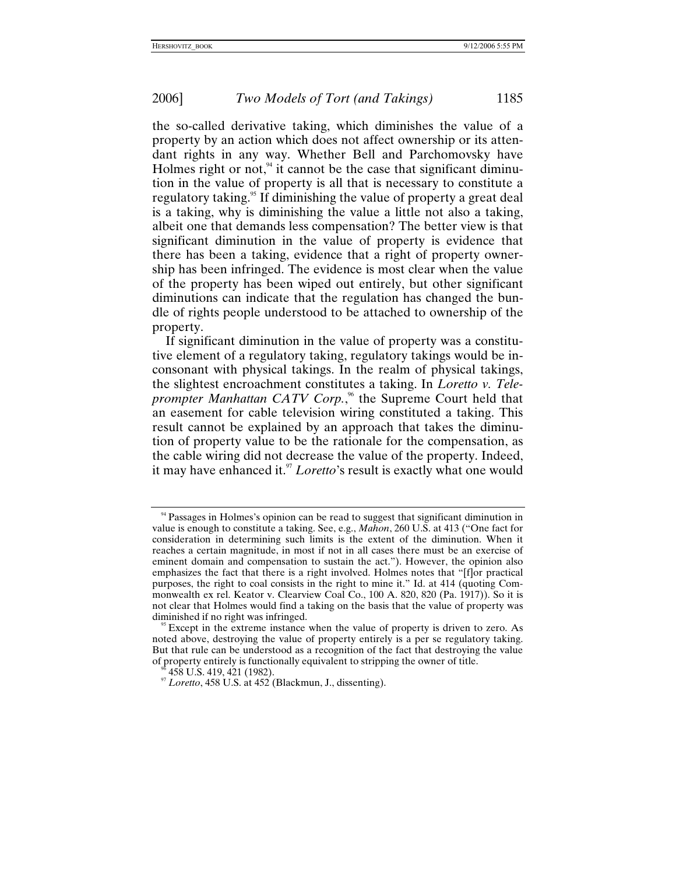the so-called derivative taking, which diminishes the value of a property by an action which does not affect ownership or its attendant rights in any way. Whether Bell and Parchomovsky have Holmes right or not, $94$  it cannot be the case that significant diminution in the value of property is all that is necessary to constitute a regulatory taking.<sup>95</sup> If diminishing the value of property a great deal is a taking, why is diminishing the value a little not also a taking, albeit one that demands less compensation? The better view is that significant diminution in the value of property is evidence that there has been a taking, evidence that a right of property ownership has been infringed. The evidence is most clear when the value of the property has been wiped out entirely, but other significant diminutions can indicate that the regulation has changed the bundle of rights people understood to be attached to ownership of the property.

If significant diminution in the value of property was a constitutive element of a regulatory taking, regulatory takings would be inconsonant with physical takings. In the realm of physical takings, the slightest encroachment constitutes a taking. In *Loretto v. Teleprompter Manhattan CATV Corp.*,<sup>66</sup> the Supreme Court held that an easement for cable television wiring constituted a taking. This result cannot be explained by an approach that takes the diminution of property value to be the rationale for the compensation, as the cable wiring did not decrease the value of the property. Indeed, it may have enhanced it.<sup>97</sup> *Loretto*'s result is exactly what one would

<span id="page-39-0"></span><sup>&</sup>lt;sup>94</sup> Passages in Holmes's opinion can be read to suggest that significant diminution in value is enough to constitute a taking. See, e.g., *Mahon*, 260 U.S. at 413 ("One fact for consideration in determining such limits is the extent of the diminution. When it reaches a certain magnitude, in most if not in all cases there must be an exercise of eminent domain and compensation to sustain the act."). However, the opinion also emphasizes the fact that there is a right involved. Holmes notes that "[f]or practical purposes, the right to coal consists in the right to mine it." Id. at 414 (quoting Commonwealth ex rel. Keator v. Clearview Coal Co., 100 A. 820, 820 (Pa. 1917)). So it is not clear that Holmes would find a taking on the basis that the value of property was diminished if no right was infringed.<br><sup>95</sup> Except in the extreme instance when the value of property is driven to zero. As

<span id="page-39-1"></span>noted above, destroying the value of property entirely is a per se regulatory taking. But that rule can be understood as a recognition of the fact that destroying the value of property entirely is functionally equivalent to stripping the owner of title. <sup>96</sup> 458 U.S. 419, 421 (1982).

<span id="page-39-2"></span>

<span id="page-39-3"></span><sup>&</sup>lt;sup>97</sup> *Loretto*, 458 U.S. at 452 (Blackmun, J., dissenting).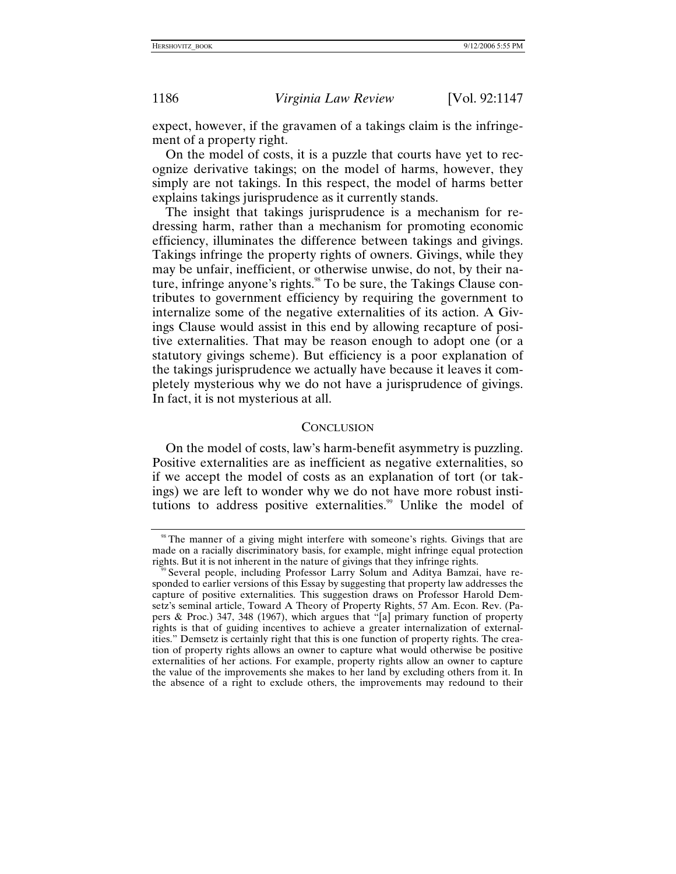expect, however, if the gravamen of a takings claim is the infringement of a property right.

On the model of costs, it is a puzzle that courts have yet to recognize derivative takings; on the model of harms, however, they simply are not takings. In this respect, the model of harms better explains takings jurisprudence as it currently stands.

The insight that takings jurisprudence is a mechanism for redressing harm, rather than a mechanism for promoting economic efficiency, illuminates the difference between takings and givings. Takings infringe the property rights of owners. Givings, while they may be unfair, inefficient, or otherwise unwise, do not, by their nature, infringe anyone's rights.<sup>98</sup> To be sure, the Takings Clause contributes to government efficiency by requiring the government to internalize some of the negative externalities of its action. A Givings Clause would assist in this end by allowing recapture of positive externalities. That may be reason enough to adopt one (or a statutory givings scheme). But efficiency is a poor explanation of the takings jurisprudence we actually have because it leaves it completely mysterious why we do not have a jurisprudence of givings. In fact, it is not mysterious at all.

#### **CONCLUSION**

On the model of costs, law's harm-benefit asymmetry is puzzling. Positive externalities are as inefficient as negative externalities, so if we accept the model of costs as an explanation of tort (or takings) we are left to wonder why we do not have more robust institutions to address positive externalities.<sup>99</sup> Unlike the model of

<span id="page-40-0"></span><sup>&</sup>lt;sup>98</sup> The manner of a giving might interfere with someone's rights. Givings that are made on a racially discriminatory basis, for example, might infringe equal protection rights. But it is not inherent in the nature of givings that they infringe rights.<br><sup>99</sup> Several people, including Professor Larry Solum and Aditya Bamzai, have re-

<span id="page-40-1"></span>sponded to earlier versions of this Essay by suggesting that property law addresses the capture of positive externalities. This suggestion draws on Professor Harold Demsetz's seminal article, Toward A Theory of Property Rights, 57 Am. Econ. Rev. (Papers & Proc.) 347, 348 (1967), which argues that "[a] primary function of property rights is that of guiding incentives to achieve a greater internalization of externalities." Demsetz is certainly right that this is one function of property rights. The creation of property rights allows an owner to capture what would otherwise be positive externalities of her actions. For example, property rights allow an owner to capture the value of the improvements she makes to her land by excluding others from it. In the absence of a right to exclude others, the improvements may redound to their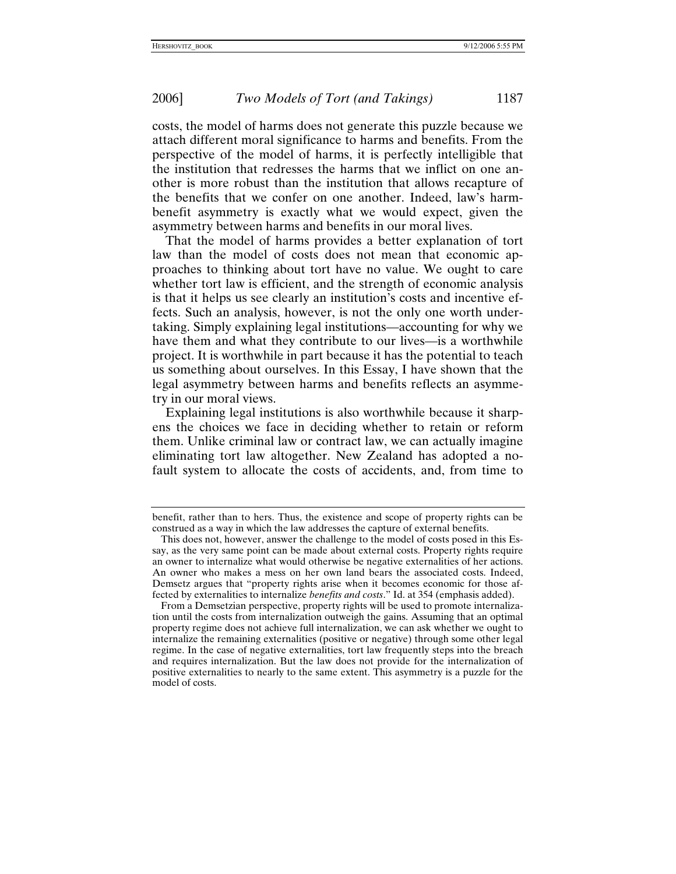costs, the model of harms does not generate this puzzle because we attach different moral significance to harms and benefits. From the perspective of the model of harms, it is perfectly intelligible that the institution that redresses the harms that we inflict on one another is more robust than the institution that allows recapture of the benefits that we confer on one another. Indeed, law's harmbenefit asymmetry is exactly what we would expect, given the asymmetry between harms and benefits in our moral lives.

That the model of harms provides a better explanation of tort law than the model of costs does not mean that economic approaches to thinking about tort have no value. We ought to care whether tort law is efficient, and the strength of economic analysis is that it helps us see clearly an institution's costs and incentive effects. Such an analysis, however, is not the only one worth undertaking. Simply explaining legal institutions—accounting for why we have them and what they contribute to our lives—is a worthwhile project. It is worthwhile in part because it has the potential to teach us something about ourselves. In this Essay, I have shown that the legal asymmetry between harms and benefits reflects an asymmetry in our moral views.

Explaining legal institutions is also worthwhile because it sharpens the choices we face in deciding whether to retain or reform them. Unlike criminal law or contract law, we can actually imagine eliminating tort law altogether. New Zealand has adopted a nofault system to allocate the costs of accidents, and, from time to

benefit, rather than to hers. Thus, the existence and scope of property rights can be construed as a way in which the law addresses the capture of external benefits.

This does not, however, answer the challenge to the model of costs posed in this Essay, as the very same point can be made about external costs. Property rights require an owner to internalize what would otherwise be negative externalities of her actions. An owner who makes a mess on her own land bears the associated costs. Indeed, Demsetz argues that "property rights arise when it becomes economic for those affected by externalities to internalize *benefits and costs*." Id. at 354 (emphasis added).

From a Demsetzian perspective, property rights will be used to promote internalization until the costs from internalization outweigh the gains. Assuming that an optimal property regime does not achieve full internalization, we can ask whether we ought to internalize the remaining externalities (positive or negative) through some other legal regime. In the case of negative externalities, tort law frequently steps into the breach and requires internalization. But the law does not provide for the internalization of positive externalities to nearly to the same extent. This asymmetry is a puzzle for the model of costs.